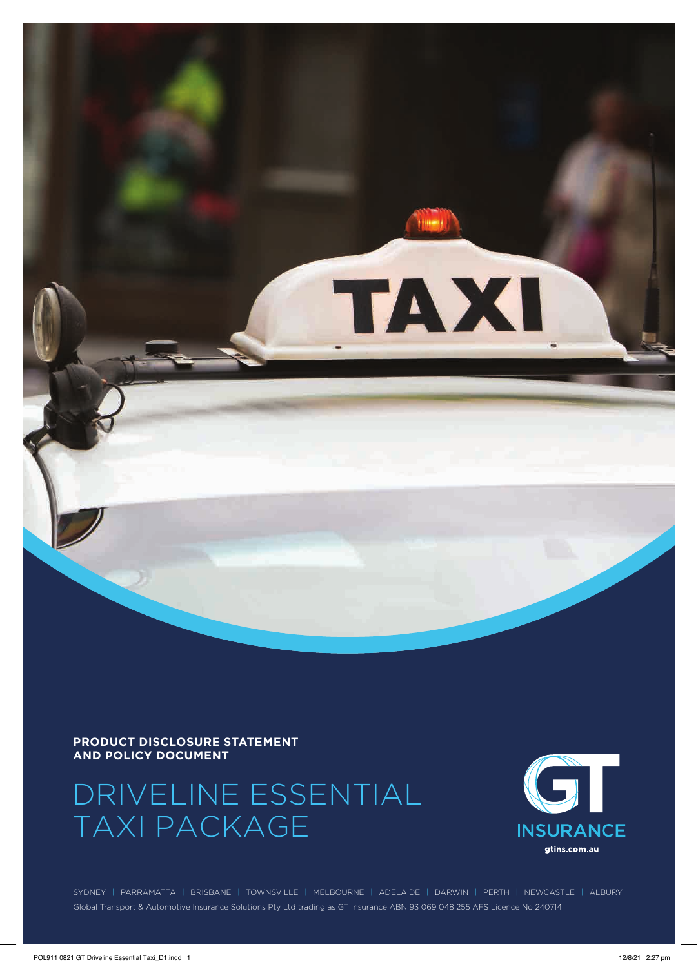

#### **PRODUCT DISCLOSURE STATEMENT AND POLICY DOCUMENT**

# DRIVELINE ESSENTIAL TAXI PACKAGE



SYDNEY | PARRAMATTA | BRISBANE | TOWNSVILLE | MELBOURNE | ADELAIDE | DARWIN | PERTH | NEWCASTLE | ALBURY Global Transport & Automotive Insurance Solutions Pty Ltd trading as GT Insurance ABN 93 069 048 255 AFS Licence No 240714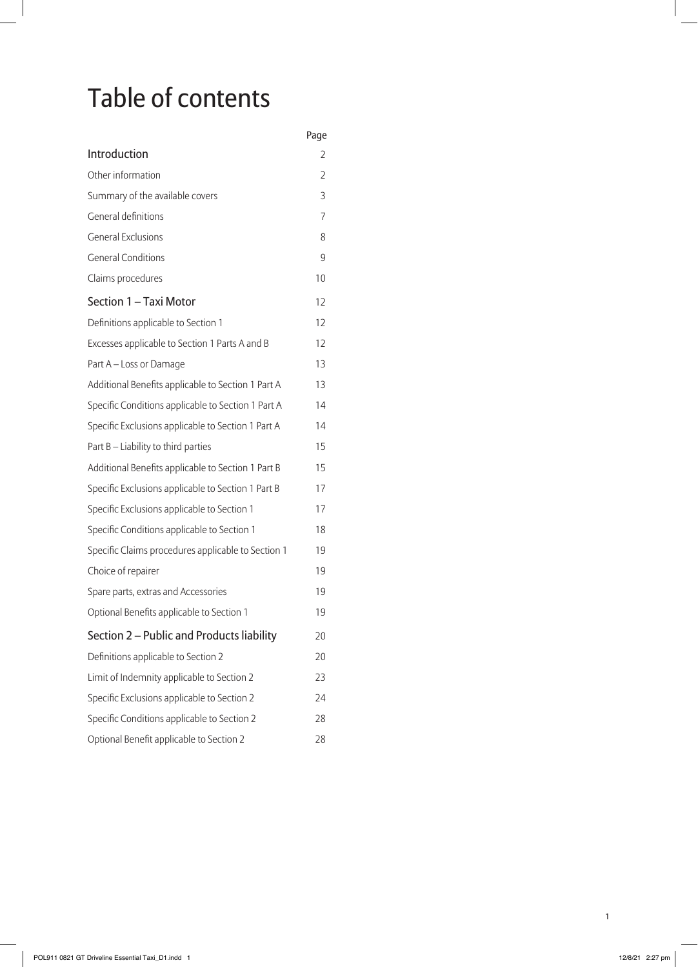# Table of contents

|                                                    | Page |
|----------------------------------------------------|------|
| Introduction                                       | 2    |
| Other information                                  | 2    |
| Summary of the available covers                    | 3    |
| <b>General definitions</b>                         | 7    |
| <b>General Exclusions</b>                          | 8    |
| <b>General Conditions</b>                          | 9    |
| Claims procedures                                  | 10   |
| Section 1 - Taxi Motor                             | 12   |
| Definitions applicable to Section 1                | 12   |
| Excesses applicable to Section 1 Parts A and B     | 12   |
| Part A - Loss or Damage                            | 13   |
| Additional Benefits applicable to Section 1 Part A | 13   |
| Specific Conditions applicable to Section 1 Part A | 14   |
| Specific Exclusions applicable to Section 1 Part A | 14   |
| Part B - Liability to third parties                | 15   |
| Additional Benefits applicable to Section 1 Part B | 15   |
| Specific Exclusions applicable to Section 1 Part B | 17   |
| Specific Exclusions applicable to Section 1        | 17   |
| Specific Conditions applicable to Section 1        | 18   |
| Specific Claims procedures applicable to Section 1 | 19   |
| Choice of repairer                                 | 19   |
| Spare parts, extras and Accessories                | 19   |
| Optional Benefits applicable to Section 1          | 19   |
| Section 2 - Public and Products liability          | 20   |
| Definitions applicable to Section 2                | 20   |
| Limit of Indemnity applicable to Section 2         | 23   |
| Specific Exclusions applicable to Section 2        | 24   |
| Specific Conditions applicable to Section 2        | 28   |
| Optional Benefit applicable to Section 2           | 28   |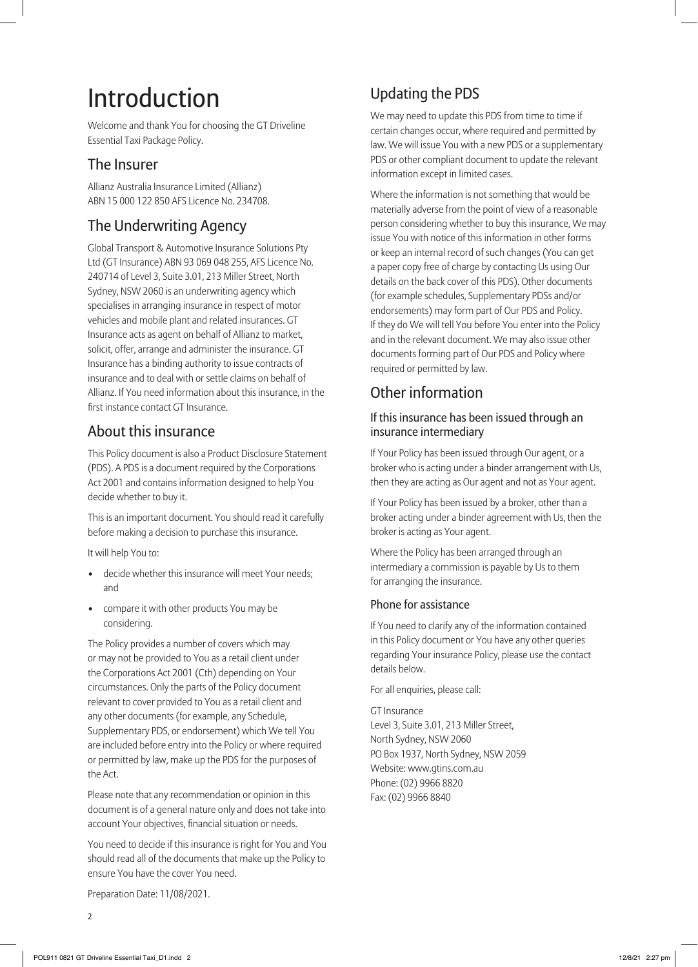# Introduction

Welcome and thank You for choosing the GT Driveline Essential Taxi Package Policy.

# The Insurer

Allianz Australia Insurance Limited (Allianz) ABN 15 000 122 850 AFS Licence No. 234708.

# The Underwriting Agency

Global Transport & Automotive Insurance Solutions Pty Ltd (GT Insurance) ABN 93 069 048 255, AFS Licence No. 240714 of Level 3, Suite 3.01, 213 Miller Street, North Sydney, NSW 2060 is an underwriting agency which specialises in arranging insurance in respect of motor vehicles and mobile plant and related insurances. GT Insurance acts as agent on behalf of Allianz to market, solicit, offer, arrange and administer the insurance. GT Insurance has a binding authority to issue contracts of insurance and to deal with or settle claims on behalf of Allianz. If You need information about this insurance, in the first instance contact GT Insurance.

# About this insurance

This Policy document is also a Product Disclosure Statement (PDS). A PDS is a document required by the Corporations Act 2001 and contains information designed to help You decide whether to buy it.

This is an important document. You should read it carefully before making a decision to purchase this insurance.

It will help You to:

- decide whether this insurance will meet Your needs; and
- compare it with other products You may be considering.

The Policy provides a number of covers which may or may not be provided to You as a retail client under the Corporations Act 2001 (Cth) depending on Your circumstances. Only the parts of the Policy document relevant to cover provided to You as a retail client and any other documents (for example, any Schedule, Supplementary PDS, or endorsement) which We tell You are included before entry into the Policy or where required or permitted by law, make up the PDS for the purposes of the Act.

Please note that any recommendation or opinion in this document is of a general nature only and does not take into account Your objectives, financial situation or needs.

You need to decide if this insurance is right for You and You should read all of the documents that make up the Policy to ensure You have the cover You need.

# Updating the PDS

We may need to update this PDS from time to time if certain changes occur, where required and permitted by law. We will issue You with a new PDS or a supplementary PDS or other compliant document to update the relevant information except in limited cases.

Where the information is not something that would be materially adverse from the point of view of a reasonable person considering whether to buy this insurance, We may issue You with notice of this information in other forms or keep an internal record of such changes (You can get a paper copy free of charge by contacting Us using Our details on the back cover of this PDS). Other documents (for example schedules, Supplementary PDSs and/or endorsements) may form part of Our PDS and Policy. If they do We will tell You before You enter into the Policy and in the relevant document. We may also issue other documents forming part of Our PDS and Policy where required or permitted by law.

# Other information

#### If this insurance has been issued through an insurance intermediary

If Your Policy has been issued through Our agent, or a broker who is acting under a binder arrangement with Us, then they are acting as Our agent and not as Your agent.

If Your Policy has been issued by a broker, other than a broker acting under a binder agreement with Us, then the broker is acting as Your agent.

Where the Policy has been arranged through an intermediary a commission is payable by Us to them for arranging the insurance.

#### Phone for assistance

If You need to clarify any of the information contained in this Policy document or You have any other queries regarding Your insurance Policy, please use the contact details below.

For all enquiries, please call:

GT Insurance Level 3, Suite 3.01, 213 Miller Street, North Sydney, NSW 2060 PO Box 1937, North Sydney, NSW 2059 Website: www.gtins.com.au Phone: (02) 9966 8820 Fax: (02) 9966 8840

Preparation Date: 11/08/2021.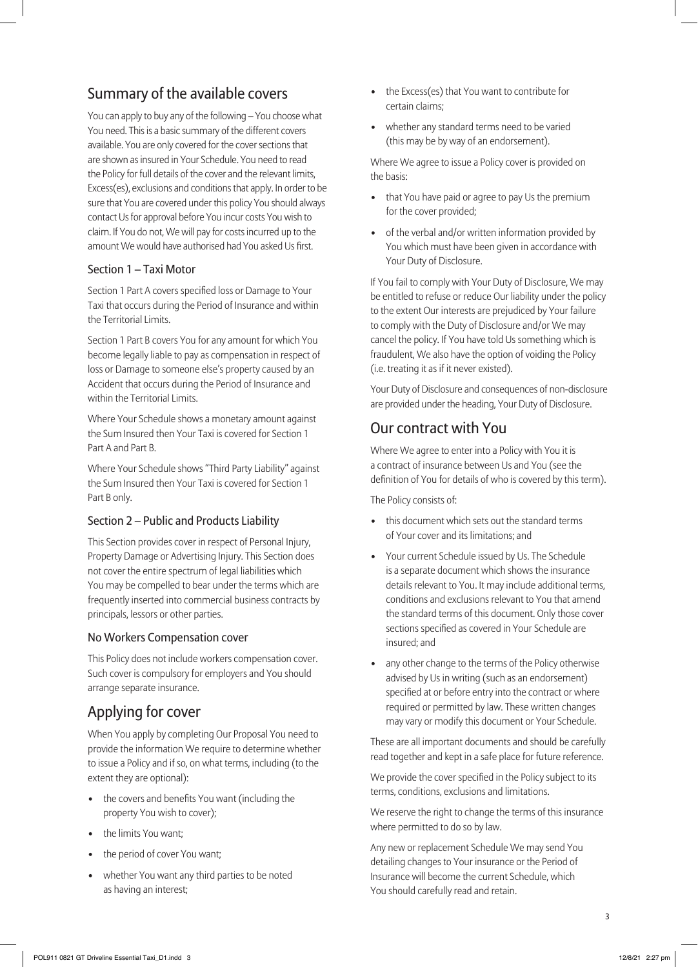# Summary of the available covers

You can apply to buy any of the following – You choose what You need. This is a basic summary of the different covers available. You are only covered for the cover sections that are shown as insured in Your Schedule. You need to read the Policy for full details of the cover and the relevant limits, Excess(es), exclusions and conditions that apply. In order to be sure that You are covered under this policy You should always contact Us for approval before You incur costs You wish to claim. If You do not, We will pay for costs incurred up to the amount We would have authorised had You asked Us first.

#### Section 1 – Taxi Motor

Section 1 Part A covers specified loss or Damage to Your Taxi that occurs during the Period of Insurance and within the Territorial Limits.

Section 1 Part B covers You for any amount for which You become legally liable to pay as compensation in respect of loss or Damage to someone else's property caused by an Accident that occurs during the Period of Insurance and within the Territorial Limits.

Where Your Schedule shows a monetary amount against the Sum Insured then Your Taxi is covered for Section 1 Part A and Part B.

Where Your Schedule shows "Third Party Liability" against the Sum Insured then Your Taxi is covered for Section 1 Part B only.

#### Section 2 – Public and Products Liability

This Section provides cover in respect of Personal Injury, Property Damage or Advertising Injury. This Section does not cover the entire spectrum of legal liabilities which You may be compelled to bear under the terms which are frequently inserted into commercial business contracts by principals, lessors or other parties.

#### No Workers Compensation cover

This Policy does not include workers compensation cover. Such cover is compulsory for employers and You should arrange separate insurance.

# Applying for cover

When You apply by completing Our Proposal You need to provide the information We require to determine whether to issue a Policy and if so, on what terms, including (to the extent they are optional):

- the covers and benefits You want (including the property You wish to cover);
- the limits You want:
- the period of cover You want;
- whether You want any third parties to be noted as having an interest;
- the Excess(es) that You want to contribute for certain claims;
- whether any standard terms need to be varied (this may be by way of an endorsement).

Where We agree to issue a Policy cover is provided on the basis:

- that You have paid or agree to pay Us the premium for the cover provided;
- of the verbal and/or written information provided by You which must have been given in accordance with Your Duty of Disclosure.

If You fail to comply with Your Duty of Disclosure, We may be entitled to refuse or reduce Our liability under the policy to the extent Our interests are prejudiced by Your failure to comply with the Duty of Disclosure and/or We may cancel the policy. If You have told Us something which is fraudulent, We also have the option of voiding the Policy (i.e. treating it as if it never existed).

Your Duty of Disclosure and consequences of non-disclosure are provided under the heading, Your Duty of Disclosure.

## Our contract with You

Where We agree to enter into a Policy with You it is a contract of insurance between Us and You (see the definition of You for details of who is covered by this term).

The Policy consists of:

- this document which sets out the standard terms of Your cover and its limitations; and
- Your current Schedule issued by Us. The Schedule is a separate document which shows the insurance details relevant to You. It may include additional terms, conditions and exclusions relevant to You that amend the standard terms of this document. Only those cover sections specified as covered in Your Schedule are insured; and
- any other change to the terms of the Policy otherwise advised by Us in writing (such as an endorsement) specified at or before entry into the contract or where required or permitted by law. These written changes may vary or modify this document or Your Schedule.

These are all important documents and should be carefully read together and kept in a safe place for future reference.

We provide the cover specified in the Policy subject to its terms, conditions, exclusions and limitations.

We reserve the right to change the terms of this insurance where permitted to do so by law.

Any new or replacement Schedule We may send You detailing changes to Your insurance or the Period of Insurance will become the current Schedule, which You should carefully read and retain.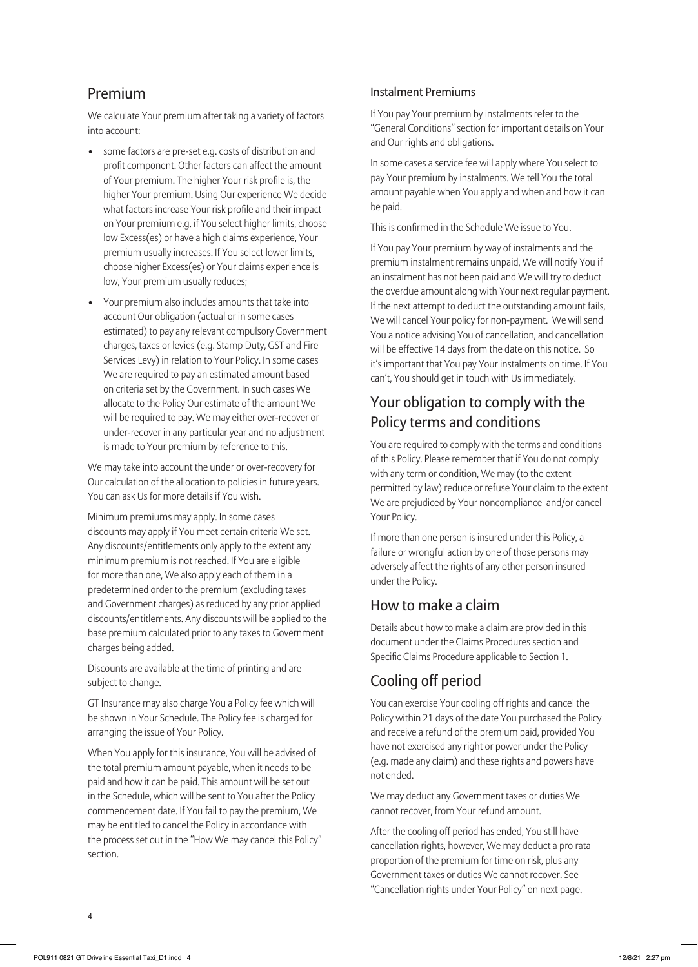# Premium

We calculate Your premium after taking a variety of factors into account:

- some factors are pre-set e.g. costs of distribution and profit component. Other factors can affect the amount of Your premium. The higher Your risk profile is, the higher Your premium. Using Our experience We decide what factors increase Your risk profile and their impact on Your premium e.g. if You select higher limits, choose low Excess(es) or have a high claims experience, Your premium usually increases. If You select lower limits, choose higher Excess(es) or Your claims experience is low, Your premium usually reduces;
- Your premium also includes amounts that take into account Our obligation (actual or in some cases estimated) to pay any relevant compulsory Government charges, taxes or levies (e.g. Stamp Duty, GST and Fire Services Levy) in relation to Your Policy. In some cases We are required to pay an estimated amount based on criteria set by the Government. In such cases We allocate to the Policy Our estimate of the amount We will be required to pay. We may either over-recover or under-recover in any particular year and no adjustment is made to Your premium by reference to this.

We may take into account the under or over-recovery for Our calculation of the allocation to policies in future years. You can ask Us for more details if You wish.

Minimum premiums may apply. In some cases discounts may apply if You meet certain criteria We set. Any discounts/entitlements only apply to the extent any minimum premium is not reached. If You are eligible for more than one, We also apply each of them in a predetermined order to the premium (excluding taxes and Government charges) as reduced by any prior applied discounts/entitlements. Any discounts will be applied to the base premium calculated prior to any taxes to Government charges being added.

Discounts are available at the time of printing and are subject to change.

GT Insurance may also charge You a Policy fee which will be shown in Your Schedule. The Policy fee is charged for arranging the issue of Your Policy.

When You apply for this insurance, You will be advised of the total premium amount payable, when it needs to be paid and how it can be paid. This amount will be set out in the Schedule, which will be sent to You after the Policy commencement date. If You fail to pay the premium, We may be entitled to cancel the Policy in accordance with the process set out in the "How We may cancel this Policy" section.

#### Instalment Premiums

If You pay Your premium by instalments refer to the "General Conditions" section for important details on Your and Our rights and obligations.

In some cases a service fee will apply where You select to pay Your premium by instalments. We tell You the total amount payable when You apply and when and how it can be paid.

This is confirmed in the Schedule We issue to You.

If You pay Your premium by way of instalments and the premium instalment remains unpaid, We will notify You if an instalment has not been paid and We will try to deduct the overdue amount along with Your next regular payment. If the next attempt to deduct the outstanding amount fails, We will cancel Your policy for non-payment. We will send You a notice advising You of cancellation, and cancellation will be effective 14 days from the date on this notice. So it's important that You pay Your instalments on time. If You can't, You should get in touch with Us immediately.

# Your obligation to comply with the Policy terms and conditions

You are required to comply with the terms and conditions of this Policy. Please remember that if You do not comply with any term or condition, We may (to the extent permitted by law) reduce or refuse Your claim to the extent We are prejudiced by Your noncompliance and/or cancel Your Policy.

If more than one person is insured under this Policy, a failure or wrongful action by one of those persons may adversely affect the rights of any other person insured under the Policy.

# How to make a claim

Details about how to make a claim are provided in this document under the Claims Procedures section and Specific Claims Procedure applicable to Section 1.

# Cooling off period

You can exercise Your cooling off rights and cancel the Policy within 21 days of the date You purchased the Policy and receive a refund of the premium paid, provided You have not exercised any right or power under the Policy (e.g. made any claim) and these rights and powers have not ended.

We may deduct any Government taxes or duties We cannot recover, from Your refund amount.

After the cooling off period has ended, You still have cancellation rights, however, We may deduct a pro rata proportion of the premium for time on risk, plus any Government taxes or duties We cannot recover. See "Cancellation rights under Your Policy" on next page.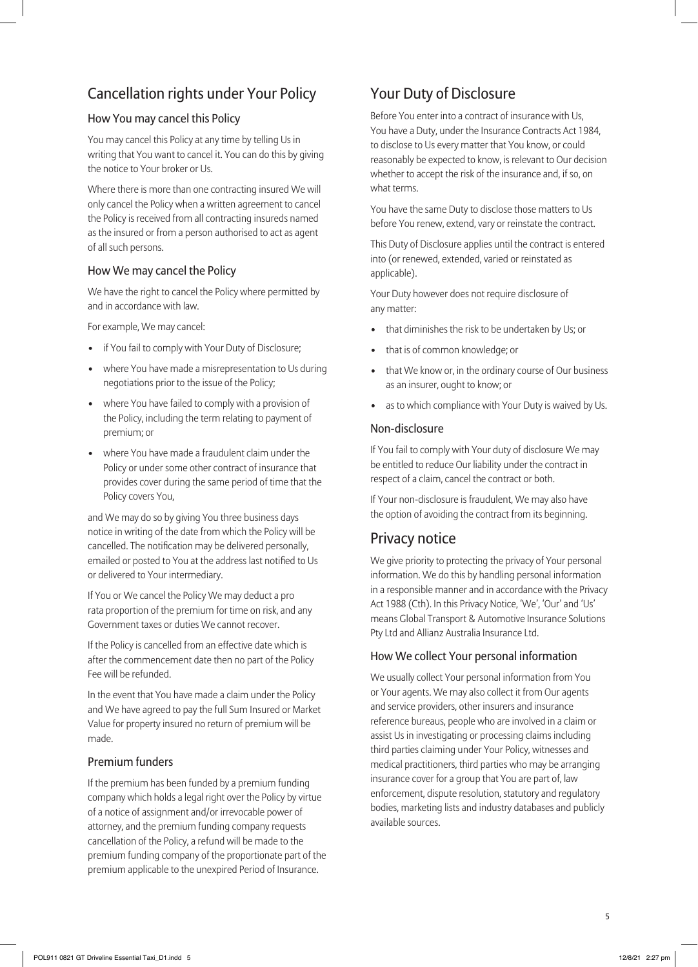# Cancellation rights under Your Policy

#### How You may cancel this Policy

You may cancel this Policy at any time by telling Us in writing that You want to cancel it. You can do this by giving the notice to Your broker or Us.

Where there is more than one contracting insured We will only cancel the Policy when a written agreement to cancel the Policy is received from all contracting insureds named as the insured or from a person authorised to act as agent of all such persons.

#### How We may cancel the Policy

We have the right to cancel the Policy where permitted by and in accordance with law.

For example, We may cancel:

- if You fail to comply with Your Duty of Disclosure;
- where You have made a misrepresentation to Us during negotiations prior to the issue of the Policy;
- where You have failed to comply with a provision of the Policy, including the term relating to payment of premium; or
- where You have made a fraudulent claim under the Policy or under some other contract of insurance that provides cover during the same period of time that the Policy covers You,

and We may do so by giving You three business days notice in writing of the date from which the Policy will be cancelled. The notification may be delivered personally, emailed or posted to You at the address last notified to Us or delivered to Your intermediary.

If You or We cancel the Policy We may deduct a pro rata proportion of the premium for time on risk, and any Government taxes or duties We cannot recover.

If the Policy is cancelled from an effective date which is after the commencement date then no part of the Policy Fee will be refunded.

In the event that You have made a claim under the Policy and We have agreed to pay the full Sum Insured or Market Value for property insured no return of premium will be made.

#### Premium funders

If the premium has been funded by a premium funding company which holds a legal right over the Policy by virtue of a notice of assignment and/or irrevocable power of attorney, and the premium funding company requests cancellation of the Policy, a refund will be made to the premium funding company of the proportionate part of the premium applicable to the unexpired Period of Insurance.

# Your Duty of Disclosure

Before You enter into a contract of insurance with Us, You have a Duty, under the Insurance Contracts Act 1984, to disclose to Us every matter that You know, or could reasonably be expected to know, is relevant to Our decision whether to accept the risk of the insurance and, if so, on what terms.

You have the same Duty to disclose those matters to Us before You renew, extend, vary or reinstate the contract.

This Duty of Disclosure applies until the contract is entered into (or renewed, extended, varied or reinstated as applicable).

Your Duty however does not require disclosure of any matter:

- that diminishes the risk to be undertaken by Us; or
- that is of common knowledge; or
- that We know or, in the ordinary course of Our business as an insurer, ought to know; or
- as to which compliance with Your Duty is waived by Us.

#### Non-disclosure

If You fail to comply with Your duty of disclosure We may be entitled to reduce Our liability under the contract in respect of a claim, cancel the contract or both.

If Your non-disclosure is fraudulent, We may also have the option of avoiding the contract from its beginning.

# Privacy notice

We give priority to protecting the privacy of Your personal information. We do this by handling personal information in a responsible manner and in accordance with the Privacy Act 1988 (Cth). In this Privacy Notice, 'We', 'Our' and 'Us' means Global Transport & Automotive Insurance Solutions Pty Ltd and Allianz Australia Insurance Ltd.

#### How We collect Your personal information

We usually collect Your personal information from You or Your agents. We may also collect it from Our agents and service providers, other insurers and insurance reference bureaus, people who are involved in a claim or assist Us in investigating or processing claims including third parties claiming under Your Policy, witnesses and medical practitioners, third parties who may be arranging insurance cover for a group that You are part of, law enforcement, dispute resolution, statutory and regulatory bodies, marketing lists and industry databases and publicly available sources.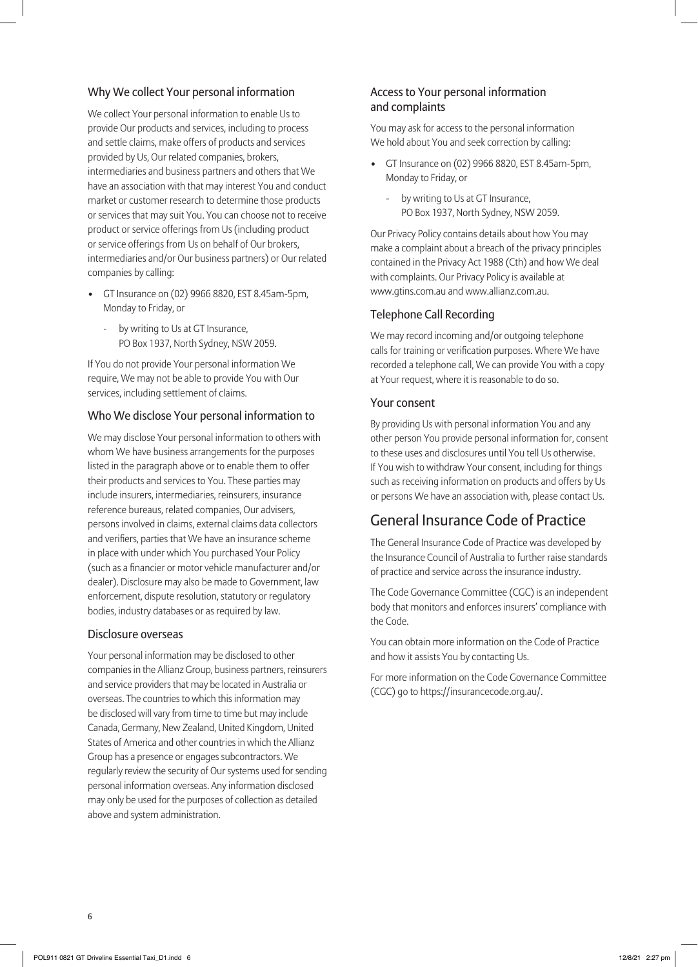#### Why We collect Your personal information

We collect Your personal information to enable Us to provide Our products and services, including to process and settle claims, make offers of products and services provided by Us, Our related companies, brokers, intermediaries and business partners and others that We have an association with that may interest You and conduct market or customer research to determine those products or services that may suit You. You can choose not to receive product or service offerings from Us (including product or service offerings from Us on behalf of Our brokers, intermediaries and/or Our business partners) or Our related companies by calling:

- GT Insurance on (02) 9966 8820, EST 8.45am-5pm, Monday to Friday, or
	- by writing to Us at GT Insurance, PO Box 1937, North Sydney, NSW 2059.

If You do not provide Your personal information We require, We may not be able to provide You with Our services, including settlement of claims.

#### Who We disclose Your personal information to

We may disclose Your personal information to others with whom We have business arrangements for the purposes listed in the paragraph above or to enable them to offer their products and services to You. These parties may include insurers, intermediaries, reinsurers, insurance reference bureaus, related companies, Our advisers, persons involved in claims, external claims data collectors and verifiers, parties that We have an insurance scheme in place with under which You purchased Your Policy (such as a financier or motor vehicle manufacturer and/or dealer). Disclosure may also be made to Government, law enforcement, dispute resolution, statutory or regulatory bodies, industry databases or as required by law.

#### Disclosure overseas

Your personal information may be disclosed to other companies in the Allianz Group, business partners, reinsurers and service providers that may be located in Australia or overseas. The countries to which this information may be disclosed will vary from time to time but may include Canada, Germany, New Zealand, United Kingdom, United States of America and other countries in which the Allianz Group has a presence or engages subcontractors. We regularly review the security of Our systems used for sending personal information overseas. Any information disclosed may only be used for the purposes of collection as detailed above and system administration.

#### Access to Your personal information and complaints

You may ask for access to the personal information We hold about You and seek correction by calling:

- GT Insurance on (02) 9966 8820, EST 8.45am-5pm, Monday to Friday, or
	- by writing to Us at GT Insurance, PO Box 1937, North Sydney, NSW 2059.

Our Privacy Policy contains details about how You may make a complaint about a breach of the privacy principles contained in the Privacy Act 1988 (Cth) and how We deal with complaints. Our Privacy Policy is available at www.gtins.com.au and www.allianz.com.au.

#### Telephone Call Recording

We may record incoming and/or outgoing telephone calls for training or verification purposes. Where We have recorded a telephone call, We can provide You with a copy at Your request, where it is reasonable to do so.

#### Your consent

By providing Us with personal information You and any other person You provide personal information for, consent to these uses and disclosures until You tell Us otherwise. If You wish to withdraw Your consent, including for things such as receiving information on products and offers by Us or persons We have an association with, please contact Us.

## General Insurance Code of Practice

The General Insurance Code of Practice was developed by the Insurance Council of Australia to further raise standards of practice and service across the insurance industry.

The Code Governance Committee (CGC) is an independent body that monitors and enforces insurers' compliance with the Code.

You can obtain more information on the Code of Practice and how it assists You by contacting Us.

For more information on the Code Governance Committee (CGC) go to https://insurancecode.org.au/.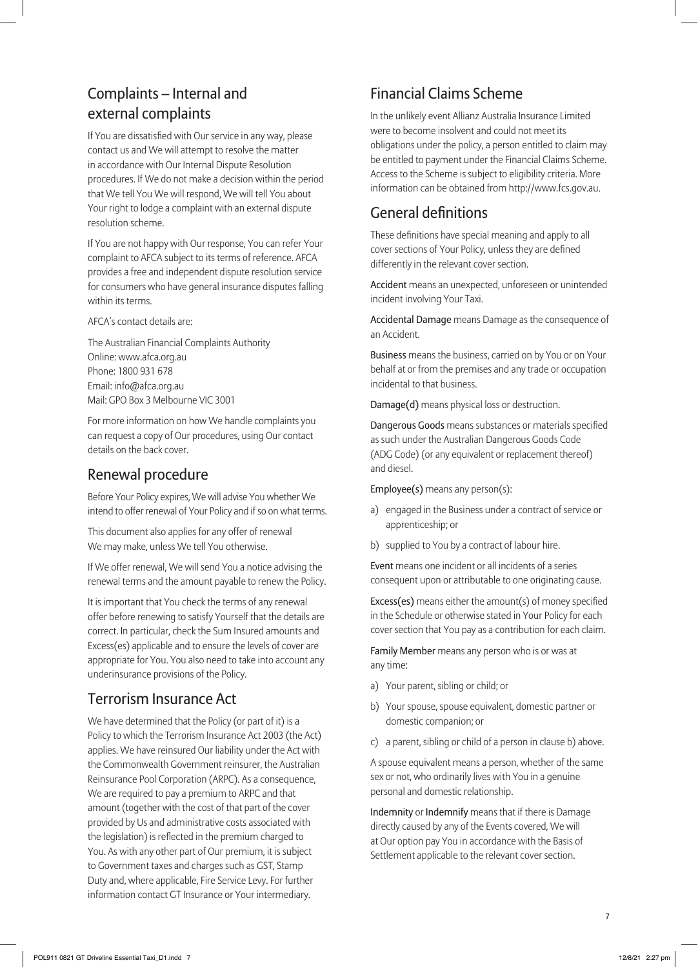# Complaints – Internal and external complaints

If You are dissatisfied with Our service in any way, please contact us and We will attempt to resolve the matter in accordance with Our Internal Dispute Resolution procedures. If We do not make a decision within the period that We tell You We will respond, We will tell You about Your right to lodge a complaint with an external dispute resolution scheme.

If You are not happy with Our response, You can refer Your complaint to AFCA subject to its terms of reference. AFCA provides a free and independent dispute resolution service for consumers who have general insurance disputes falling within its terms.

AFCA's contact details are:

The Australian Financial Complaints Authority Online: www.afca.org.au Phone: 1800 931 678 Email: info@afca.org.au Mail: GPO Box 3 Melbourne VIC 3001

For more information on how We handle complaints you can request a copy of Our procedures, using Our contact details on the back cover.

# Renewal procedure

Before Your Policy expires, We will advise You whether We intend to offer renewal of Your Policy and if so on what terms.

This document also applies for any offer of renewal We may make, unless We tell You otherwise.

If We offer renewal, We will send You a notice advising the renewal terms and the amount payable to renew the Policy.

It is important that You check the terms of any renewal offer before renewing to satisfy Yourself that the details are correct. In particular, check the Sum Insured amounts and Excess(es) applicable and to ensure the levels of cover are appropriate for You. You also need to take into account any underinsurance provisions of the Policy.

# Terrorism Insurance Act

We have determined that the Policy (or part of it) is a Policy to which the Terrorism Insurance Act 2003 (the Act) applies. We have reinsured Our liability under the Act with the Commonwealth Government reinsurer, the Australian Reinsurance Pool Corporation (ARPC). As a consequence, We are required to pay a premium to ARPC and that amount (together with the cost of that part of the cover provided by Us and administrative costs associated with the legislation) is reflected in the premium charged to You. As with any other part of Our premium, it is subject to Government taxes and charges such as GST, Stamp Duty and, where applicable, Fire Service Levy. For further information contact GT Insurance or Your intermediary.

# Financial Claims Scheme

In the unlikely event Allianz Australia Insurance Limited were to become insolvent and could not meet its obligations under the policy, a person entitled to claim may be entitled to payment under the Financial Claims Scheme. Access to the Scheme is subject to eligibility criteria. More information can be obtained from http://www.fcs.gov.au.

# General definitions

These definitions have special meaning and apply to all cover sections of Your Policy, unless they are defined differently in the relevant cover section.

Accident means an unexpected, unforeseen or unintended incident involving Your Taxi.

Accidental Damage means Damage as the consequence of an Accident.

Business means the business, carried on by You or on Your behalf at or from the premises and any trade or occupation incidental to that business.

Damage(d) means physical loss or destruction.

Dangerous Goods means substances or materials specified as such under the Australian Dangerous Goods Code (ADG Code) (or any equivalent or replacement thereof) and diesel.

Employee(s) means any person(s):

- a) engaged in the Business under a contract of service or apprenticeship; or
- b) supplied to You by a contract of labour hire.

Event means one incident or all incidents of a series consequent upon or attributable to one originating cause.

Excess(es) means either the amount(s) of money specified in the Schedule or otherwise stated in Your Policy for each cover section that You pay as a contribution for each claim.

Family Member means any person who is or was at any time:

- a) Your parent, sibling or child; or
- b) Your spouse, spouse equivalent, domestic partner or domestic companion; or
- c) a parent, sibling or child of a person in clause b) above.

A spouse equivalent means a person, whether of the same sex or not, who ordinarily lives with You in a genuine personal and domestic relationship.

Indemnity or Indemnify means that if there is Damage directly caused by any of the Events covered, We will at Our option pay You in accordance with the Basis of Settlement applicable to the relevant cover section.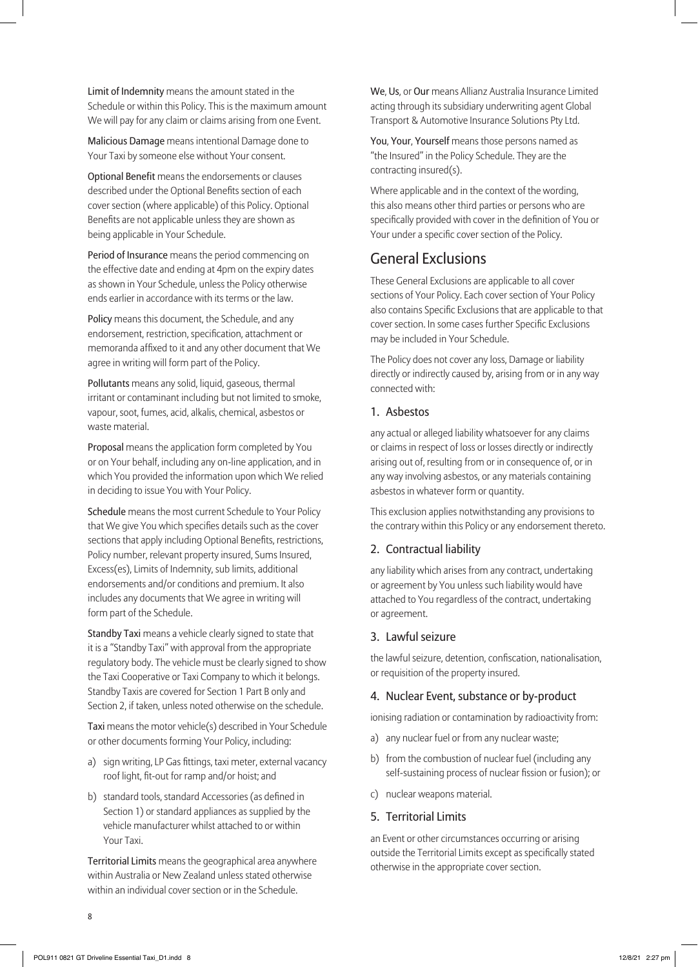Limit of Indemnity means the amount stated in the Schedule or within this Policy. This is the maximum amount We will pay for any claim or claims arising from one Event.

Malicious Damage means intentional Damage done to Your Taxi by someone else without Your consent.

Optional Benefit means the endorsements or clauses described under the Optional Benefits section of each cover section (where applicable) of this Policy. Optional Benefits are not applicable unless they are shown as being applicable in Your Schedule.

Period of Insurance means the period commencing on the effective date and ending at 4pm on the expiry dates as shown in Your Schedule, unless the Policy otherwise ends earlier in accordance with its terms or the law.

Policy means this document, the Schedule, and any endorsement, restriction, specification, attachment or memoranda affixed to it and any other document that We agree in writing will form part of the Policy.

Pollutants means any solid, liquid, gaseous, thermal irritant or contaminant including but not limited to smoke, vapour, soot, fumes, acid, alkalis, chemical, asbestos or waste material.

Proposal means the application form completed by You or on Your behalf, including any on-line application, and in which You provided the information upon which We relied in deciding to issue You with Your Policy.

Schedule means the most current Schedule to Your Policy that We give You which specifies details such as the cover sections that apply including Optional Benefits, restrictions, Policy number, relevant property insured, Sums Insured, Excess(es), Limits of Indemnity, sub limits, additional endorsements and/or conditions and premium. It also includes any documents that We agree in writing will form part of the Schedule.

Standby Taxi means a vehicle clearly signed to state that it is a "Standby Taxi" with approval from the appropriate regulatory body. The vehicle must be clearly signed to show the Taxi Cooperative or Taxi Company to which it belongs. Standby Taxis are covered for Section 1 Part B only and Section 2, if taken, unless noted otherwise on the schedule.

Taxi means the motor vehicle(s) described in Your Schedule or other documents forming Your Policy, including:

- a) sign writing, LP Gas fittings, taxi meter, external vacancy roof light, fit-out for ramp and/or hoist; and
- b) standard tools, standard Accessories (as defined in Section 1) or standard appliances as supplied by the vehicle manufacturer whilst attached to or within Your Taxi.

Territorial Limits means the geographical area anywhere within Australia or New Zealand unless stated otherwise within an individual cover section or in the Schedule.

We, Us, or Our means Allianz Australia Insurance Limited acting through its subsidiary underwriting agent Global Transport & Automotive Insurance Solutions Pty Ltd.

You, Your, Yourself means those persons named as "the Insured" in the Policy Schedule. They are the contracting insured(s).

Where applicable and in the context of the wording, this also means other third parties or persons who are specifically provided with cover in the definition of You or Your under a specific cover section of the Policy.

# General Exclusions

These General Exclusions are applicable to all cover sections of Your Policy. Each cover section of Your Policy also contains Specific Exclusions that are applicable to that cover section. In some cases further Specific Exclusions may be included in Your Schedule.

The Policy does not cover any loss, Damage or liability directly or indirectly caused by, arising from or in any way connected with:

#### 1. Asbestos

any actual or alleged liability whatsoever for any claims or claims in respect of loss or losses directly or indirectly arising out of, resulting from or in consequence of, or in any way involving asbestos, or any materials containing asbestos in whatever form or quantity.

This exclusion applies notwithstanding any provisions to the contrary within this Policy or any endorsement thereto.

#### 2. Contractual liability

any liability which arises from any contract, undertaking or agreement by You unless such liability would have attached to You regardless of the contract, undertaking or agreement.

#### 3. Lawful seizure

the lawful seizure, detention, confiscation, nationalisation, or requisition of the property insured.

#### 4. Nuclear Event, substance or by-product

ionising radiation or contamination by radioactivity from:

- a) any nuclear fuel or from any nuclear waste;
- b) from the combustion of nuclear fuel (including any self-sustaining process of nuclear fission or fusion); or
- c) nuclear weapons material.

#### 5. Territorial Limits

an Event or other circumstances occurring or arising outside the Territorial Limits except as specifically stated otherwise in the appropriate cover section.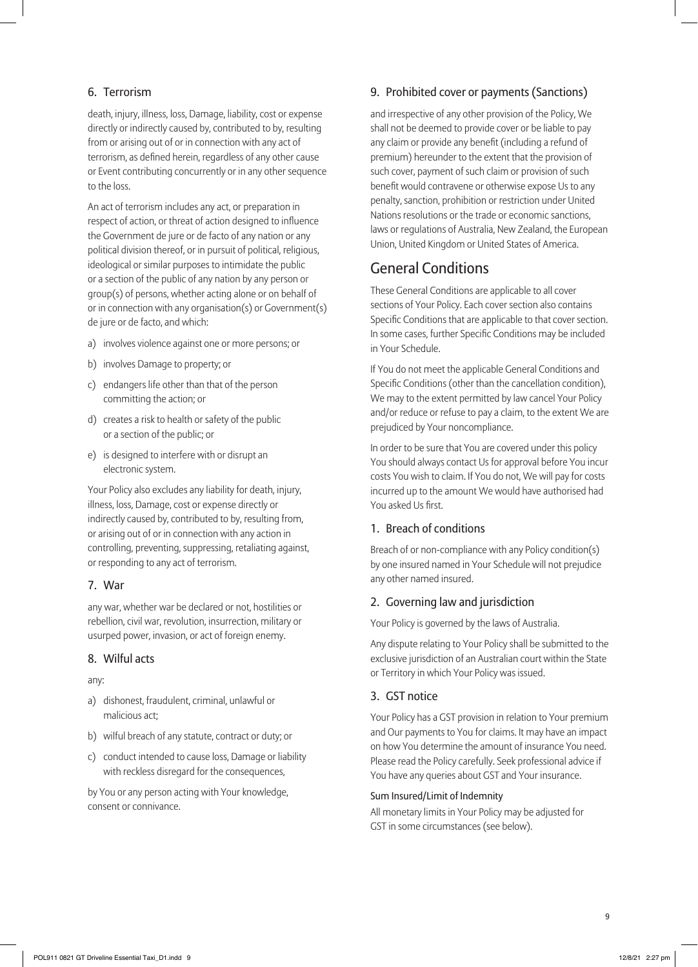#### 6. Terrorism

death, injury, illness, loss, Damage, liability, cost or expense directly or indirectly caused by, contributed to by, resulting from or arising out of or in connection with any act of terrorism, as defined herein, regardless of any other cause or Event contributing concurrently or in any other sequence to the loss.

An act of terrorism includes any act, or preparation in respect of action, or threat of action designed to influence the Government de jure or de facto of any nation or any political division thereof, or in pursuit of political, religious, ideological or similar purposes to intimidate the public or a section of the public of any nation by any person or group(s) of persons, whether acting alone or on behalf of or in connection with any organisation(s) or Government(s) de jure or de facto, and which:

- a) involves violence against one or more persons; or
- b) involves Damage to property; or
- c) endangers life other than that of the person committing the action; or
- d) creates a risk to health or safety of the public or a section of the public; or
- e) is designed to interfere with or disrupt an electronic system.

Your Policy also excludes any liability for death, injury, illness, loss, Damage, cost or expense directly or indirectly caused by, contributed to by, resulting from, or arising out of or in connection with any action in controlling, preventing, suppressing, retaliating against, or responding to any act of terrorism.

#### 7. War

any war, whether war be declared or not, hostilities or rebellion, civil war, revolution, insurrection, military or usurped power, invasion, or act of foreign enemy.

#### 8. Wilful acts

#### any:

- a) dishonest, fraudulent, criminal, unlawful or malicious act;
- b) wilful breach of any statute, contract or duty; or
- c) conduct intended to cause loss, Damage or liability with reckless disregard for the consequences,

by You or any person acting with Your knowledge, consent or connivance.

#### 9. Prohibited cover or payments (Sanctions)

and irrespective of any other provision of the Policy, We shall not be deemed to provide cover or be liable to pay any claim or provide any benefit (including a refund of premium) hereunder to the extent that the provision of such cover, payment of such claim or provision of such benefit would contravene or otherwise expose Us to any penalty, sanction, prohibition or restriction under United Nations resolutions or the trade or economic sanctions, laws or regulations of Australia, New Zealand, the European Union, United Kingdom or United States of America.

## General Conditions

These General Conditions are applicable to all cover sections of Your Policy. Each cover section also contains Specific Conditions that are applicable to that cover section. In some cases, further Specific Conditions may be included in Your Schedule.

If You do not meet the applicable General Conditions and Specific Conditions (other than the cancellation condition), We may to the extent permitted by law cancel Your Policy and/or reduce or refuse to pay a claim, to the extent We are prejudiced by Your noncompliance.

In order to be sure that You are covered under this policy You should always contact Us for approval before You incur costs You wish to claim. If You do not, We will pay for costs incurred up to the amount We would have authorised had You asked Us first.

#### 1. Breach of conditions

Breach of or non-compliance with any Policy condition(s) by one insured named in Your Schedule will not prejudice any other named insured.

#### 2. Governing law and jurisdiction

Your Policy is governed by the laws of Australia.

Any dispute relating to Your Policy shall be submitted to the exclusive jurisdiction of an Australian court within the State or Territory in which Your Policy was issued.

#### 3. GST notice

Your Policy has a GST provision in relation to Your premium and Our payments to You for claims. It may have an impact on how You determine the amount of insurance You need. Please read the Policy carefully. Seek professional advice if You have any queries about GST and Your insurance.

#### Sum Insured/Limit of Indemnity

All monetary limits in Your Policy may be adjusted for GST in some circumstances (see below).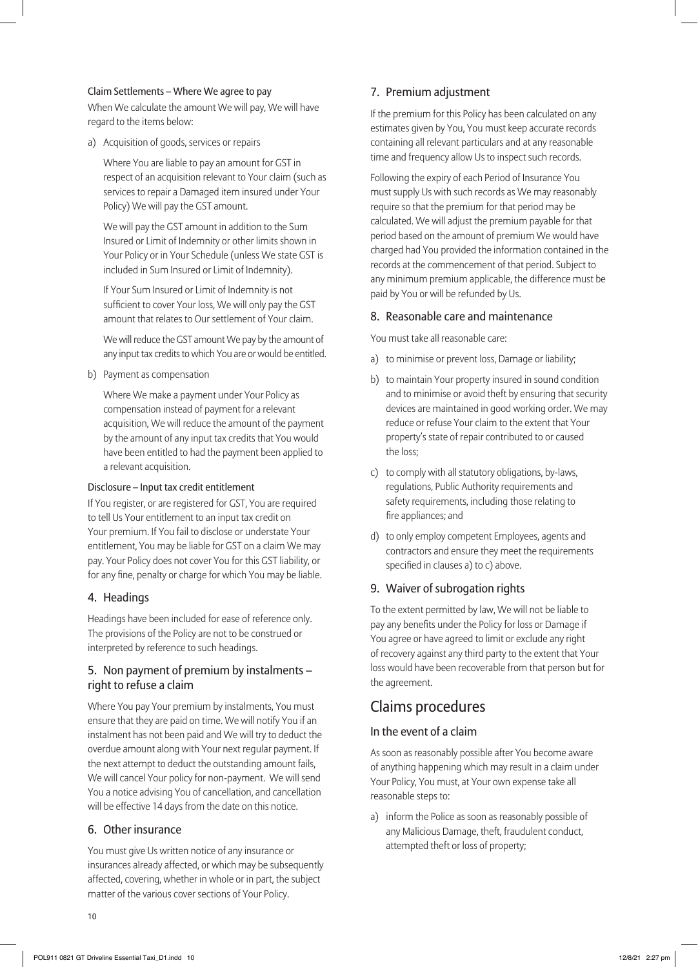#### Claim Settlements – Where We agree to pay

When We calculate the amount We will pay, We will have regard to the items below:

a) Acquisition of goods, services or repairs

Where You are liable to pay an amount for GST in respect of an acquisition relevant to Your claim (such as services to repair a Damaged item insured under Your Policy) We will pay the GST amount.

We will pay the GST amount in addition to the Sum Insured or Limit of Indemnity or other limits shown in Your Policy or in Your Schedule (unless We state GST is included in Sum Insured or Limit of Indemnity).

If Your Sum Insured or Limit of Indemnity is not sufficient to cover Your loss, We will only pay the GST amount that relates to Our settlement of Your claim.

We will reduce the GST amount We pay by the amount of any input tax credits to which You are or would be entitled.

b) Payment as compensation

Where We make a payment under Your Policy as compensation instead of payment for a relevant acquisition, We will reduce the amount of the payment by the amount of any input tax credits that You would have been entitled to had the payment been applied to a relevant acquisition.

#### Disclosure – Input tax credit entitlement

If You register, or are registered for GST, You are required to tell Us Your entitlement to an input tax credit on Your premium. If You fail to disclose or understate Your entitlement, You may be liable for GST on a claim We may pay. Your Policy does not cover You for this GST liability, or for any fine, penalty or charge for which You may be liable.

#### 4. Headings

Headings have been included for ease of reference only. The provisions of the Policy are not to be construed or interpreted by reference to such headings.

#### 5. Non payment of premium by instalments – right to refuse a claim

Where You pay Your premium by instalments, You must ensure that they are paid on time. We will notify You if an instalment has not been paid and We will try to deduct the overdue amount along with Your next regular payment. If the next attempt to deduct the outstanding amount fails, We will cancel Your policy for non-payment. We will send You a notice advising You of cancellation, and cancellation will be effective 14 days from the date on this notice.

#### 6. Other insurance

You must give Us written notice of any insurance or insurances already affected, or which may be subsequently affected, covering, whether in whole or in part, the subject matter of the various cover sections of Your Policy.

#### 7. Premium adjustment

If the premium for this Policy has been calculated on any estimates given by You, You must keep accurate records containing all relevant particulars and at any reasonable time and frequency allow Us to inspect such records.

Following the expiry of each Period of Insurance You must supply Us with such records as We may reasonably require so that the premium for that period may be calculated. We will adjust the premium payable for that period based on the amount of premium We would have charged had You provided the information contained in the records at the commencement of that period. Subject to any minimum premium applicable, the difference must be paid by You or will be refunded by Us.

#### 8. Reasonable care and maintenance

You must take all reasonable care:

- a) to minimise or prevent loss, Damage or liability;
- b) to maintain Your property insured in sound condition and to minimise or avoid theft by ensuring that security devices are maintained in good working order. We may reduce or refuse Your claim to the extent that Your property's state of repair contributed to or caused the loss;
- c) to comply with all statutory obligations, by-laws, regulations, Public Authority requirements and safety requirements, including those relating to fire appliances; and
- d) to only employ competent Employees, agents and contractors and ensure they meet the requirements specified in clauses a) to c) above.

#### 9. Waiver of subrogation rights

To the extent permitted by law, We will not be liable to pay any benefits under the Policy for loss or Damage if You agree or have agreed to limit or exclude any right of recovery against any third party to the extent that Your loss would have been recoverable from that person but for the agreement.

## Claims procedures

#### In the event of a claim

As soon as reasonably possible after You become aware of anything happening which may result in a claim under Your Policy, You must, at Your own expense take all reasonable steps to:

a) inform the Police as soon as reasonably possible of any Malicious Damage, theft, fraudulent conduct, attempted theft or loss of property;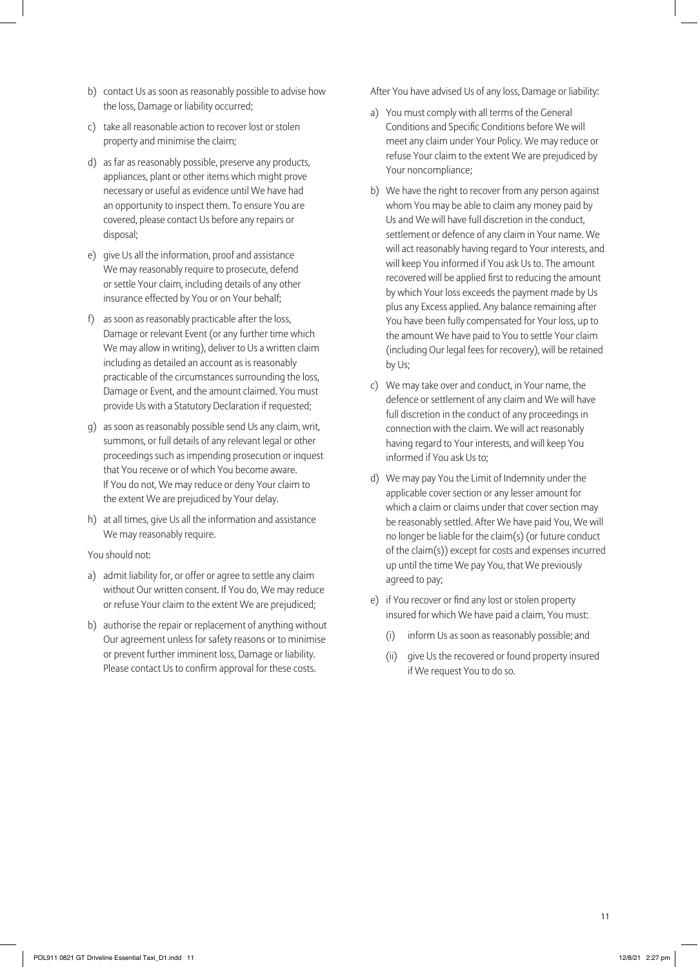- b) contact Us as soon as reasonably possible to advise how the loss, Damage or liability occurred;
- c) take all reasonable action to recover lost or stolen property and minimise the claim;
- d) as far as reasonably possible, preserve any products, appliances, plant or other items which might prove necessary or useful as evidence until We have had an opportunity to inspect them. To ensure You are covered, please contact Us before any repairs or disposal;
- e) give Us all the information, proof and assistance We may reasonably require to prosecute, defend or settle Your claim, including details of any other insurance effected by You or on Your behalf;
- f) as soon as reasonably practicable after the loss, Damage or relevant Event (or any further time which We may allow in writing), deliver to Us a written claim including as detailed an account as is reasonably practicable of the circumstances surrounding the loss, Damage or Event, and the amount claimed. You must provide Us with a Statutory Declaration if requested;
- g) as soon as reasonably possible send Us any claim, writ, summons, or full details of any relevant legal or other proceedings such as impending prosecution or inquest that You receive or of which You become aware. If You do not, We may reduce or deny Your claim to the extent We are prejudiced by Your delay.
- h) at all times, give Us all the information and assistance We may reasonably require.

#### You should not:

- a) admit liability for, or offer or agree to settle any claim without Our written consent. If You do, We may reduce or refuse Your claim to the extent We are prejudiced;
- b) authorise the repair or replacement of anything without Our agreement unless for safety reasons or to minimise or prevent further imminent loss, Damage or liability. Please contact Us to confirm approval for these costs.

After You have advised Us of any loss, Damage or liability:

- a) You must comply with all terms of the General Conditions and Specific Conditions before We will meet any claim under Your Policy. We may reduce or refuse Your claim to the extent We are prejudiced by Your noncompliance;
- b) We have the right to recover from any person against whom You may be able to claim any money paid by Us and We will have full discretion in the conduct, settlement or defence of any claim in Your name. We will act reasonably having regard to Your interests, and will keep You informed if You ask Us to. The amount recovered will be applied first to reducing the amount by which Your loss exceeds the payment made by Us plus any Excess applied. Any balance remaining after You have been fully compensated for Your loss, up to the amount We have paid to You to settle Your claim (including Our legal fees for recovery), will be retained by Us;
- c) We may take over and conduct, in Your name, the defence or settlement of any claim and We will have full discretion in the conduct of any proceedings in connection with the claim. We will act reasonably having regard to Your interests, and will keep You informed if You ask Us to;
- d) We may pay You the Limit of Indemnity under the applicable cover section or any lesser amount for which a claim or claims under that cover section may be reasonably settled. After We have paid You, We will no longer be liable for the claim(s) (or future conduct of the claim(s)) except for costs and expenses incurred up until the time We pay You, that We previously agreed to pay;
- e) if You recover or find any lost or stolen property insured for which We have paid a claim, You must:
	- (i) inform Us as soon as reasonably possible; and
	- (ii) give Us the recovered or found property insured if We request You to do so.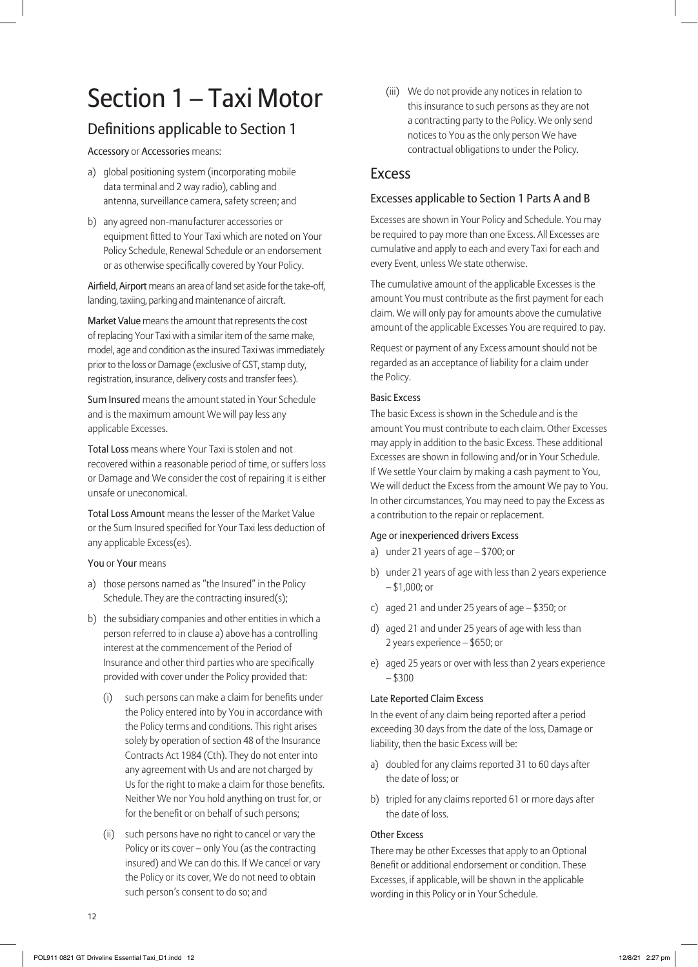# Section 1 – Taxi Motor

# Definitions applicable to Section 1

Accessory or Accessories means:

- a) global positioning system (incorporating mobile data terminal and 2 way radio), cabling and antenna, surveillance camera, safety screen; and
- b) any agreed non-manufacturer accessories or equipment fitted to Your Taxi which are noted on Your Policy Schedule, Renewal Schedule or an endorsement or as otherwise specifically covered by Your Policy.

Airfield, Airport means an area of land set aside for the take-off, landing, taxiing, parking and maintenance of aircraft.

Market Value means the amount that represents the cost of replacing Your Taxi with a similar item of the same make, model, age and condition as the insured Taxi was immediately prior to the loss or Damage (exclusive of GST, stamp duty, registration, insurance, delivery costs and transfer fees).

Sum Insured means the amount stated in Your Schedule and is the maximum amount We will pay less any applicable Excesses.

Total Loss means where Your Taxi is stolen and not recovered within a reasonable period of time, or suffers loss or Damage and We consider the cost of repairing it is either unsafe or uneconomical.

Total Loss Amount means the lesser of the Market Value or the Sum Insured specified for Your Taxi less deduction of any applicable Excess(es).

You or Your means

- a) those persons named as "the Insured" in the Policy Schedule. They are the contracting insured(s);
- b) the subsidiary companies and other entities in which a person referred to in clause a) above has a controlling interest at the commencement of the Period of Insurance and other third parties who are specifically provided with cover under the Policy provided that:
	- (i) such persons can make a claim for benefits under the Policy entered into by You in accordance with the Policy terms and conditions. This right arises solely by operation of section 48 of the Insurance Contracts Act 1984 (Cth). They do not enter into any agreement with Us and are not charged by Us for the right to make a claim for those benefits. Neither We nor You hold anything on trust for, or for the benefit or on behalf of such persons;
	- (ii) such persons have no right to cancel or vary the Policy or its cover – only You (as the contracting insured) and We can do this. If We cancel or vary the Policy or its cover, We do not need to obtain such person's consent to do so; and

(iii) We do not provide any notices in relation to this insurance to such persons as they are not a contracting party to the Policy. We only send notices to You as the only person We have contractual obligations to under the Policy.

#### Excess

#### Excesses applicable to Section 1 Parts A and B

Excesses are shown in Your Policy and Schedule. You may be required to pay more than one Excess. All Excesses are cumulative and apply to each and every Taxi for each and every Event, unless We state otherwise.

The cumulative amount of the applicable Excesses is the amount You must contribute as the first payment for each claim. We will only pay for amounts above the cumulative amount of the applicable Excesses You are required to pay.

Request or payment of any Excess amount should not be regarded as an acceptance of liability for a claim under the Policy.

#### Basic Excess

The basic Excess is shown in the Schedule and is the amount You must contribute to each claim. Other Excesses may apply in addition to the basic Excess. These additional Excesses are shown in following and/or in Your Schedule. If We settle Your claim by making a cash payment to You, We will deduct the Excess from the amount We pay to You. In other circumstances, You may need to pay the Excess as a contribution to the repair or replacement.

#### Age or inexperienced drivers Excess

- a) under 21 years of age \$700; or
- b) under 21 years of age with less than 2 years experience – \$1,000; or
- c) aged 21 and under 25 years of age \$350; or
- d) aged 21 and under 25 years of age with less than 2 years experience – \$650; or
- e) aged 25 years or over with less than 2 years experience – \$300

#### Late Reported Claim Excess

In the event of any claim being reported after a period exceeding 30 days from the date of the loss, Damage or liability, then the basic Excess will be:

- a) doubled for any claims reported 31 to 60 days after the date of loss; or
- b) tripled for any claims reported 61 or more days after the date of loss.

#### Other Excess

There may be other Excesses that apply to an Optional Benefit or additional endorsement or condition. These Excesses, if applicable, will be shown in the applicable wording in this Policy or in Your Schedule.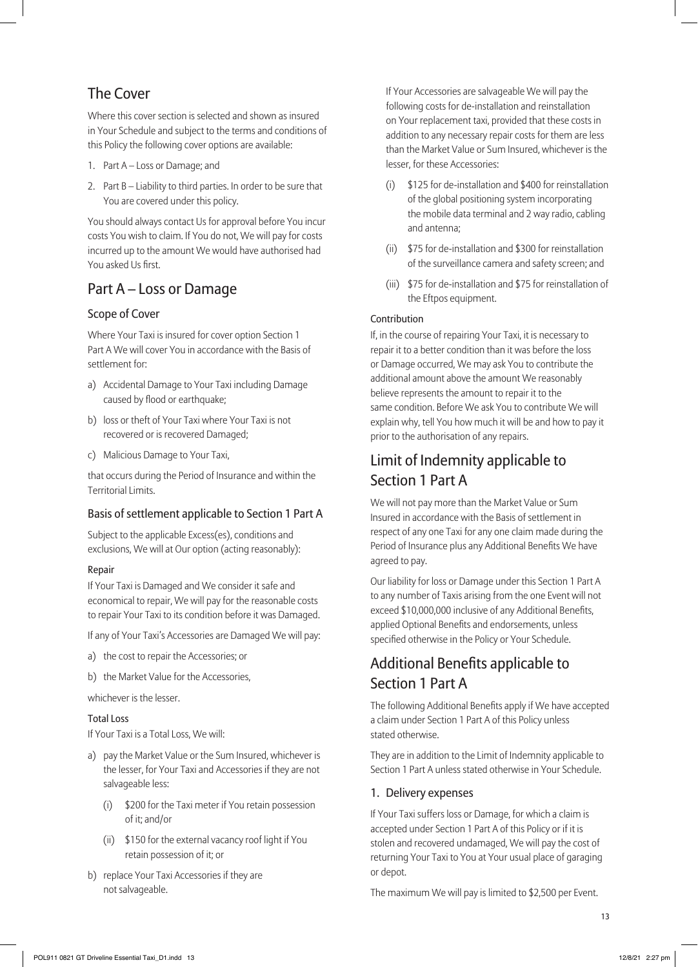# The Cover

Where this cover section is selected and shown as insured in Your Schedule and subject to the terms and conditions of this Policy the following cover options are available:

- 1. Part A Loss or Damage; and
- 2. Part B Liability to third parties. In order to be sure that You are covered under this policy.

You should always contact Us for approval before You incur costs You wish to claim. If You do not, We will pay for costs incurred up to the amount We would have authorised had You asked Us first.

# Part A – Loss or Damage

#### Scope of Cover

Where Your Taxi is insured for cover option Section 1 Part A We will cover You in accordance with the Basis of settlement for:

- a) Accidental Damage to Your Taxi including Damage caused by flood or earthquake;
- b) loss or theft of Your Taxi where Your Taxi is not recovered or is recovered Damaged;
- c) Malicious Damage to Your Taxi,

that occurs during the Period of Insurance and within the Territorial Limits.

#### Basis of settlement applicable to Section 1 Part A

Subject to the applicable Excess(es), conditions and exclusions, We will at Our option (acting reasonably):

#### Repair

If Your Taxi is Damaged and We consider it safe and economical to repair, We will pay for the reasonable costs to repair Your Taxi to its condition before it was Damaged.

If any of Your Taxi's Accessories are Damaged We will pay:

- a) the cost to repair the Accessories; or
- b) the Market Value for the Accessories,

whichever is the lesser.

#### Total Loss

If Your Taxi is a Total Loss, We will:

- a) pay the Market Value or the Sum Insured, whichever is the lesser, for Your Taxi and Accessories if they are not salvageable less:
	- (i) \$200 for the Taxi meter if You retain possession of it; and/or
	- (ii) \$150 for the external vacancy roof light if You retain possession of it; or
- b) replace Your Taxi Accessories if they are not salvageable.

If Your Accessories are salvageable We will pay the following costs for de-installation and reinstallation on Your replacement taxi, provided that these costs in addition to any necessary repair costs for them are less than the Market Value or Sum Insured, whichever is the lesser, for these Accessories:

- (i) \$125 for de-installation and \$400 for reinstallation of the global positioning system incorporating the mobile data terminal and 2 way radio, cabling and antenna;
- (ii) \$75 for de-installation and \$300 for reinstallation of the surveillance camera and safety screen; and
- (iii) \$75 for de-installation and \$75 for reinstallation of the Eftpos equipment.

#### Contribution

If, in the course of repairing Your Taxi, it is necessary to repair it to a better condition than it was before the loss or Damage occurred, We may ask You to contribute the additional amount above the amount We reasonably believe represents the amount to repair it to the same condition. Before We ask You to contribute We will explain why, tell You how much it will be and how to pay it prior to the authorisation of any repairs.

# Limit of Indemnity applicable to Section 1 Part A

We will not pay more than the Market Value or Sum Insured in accordance with the Basis of settlement in respect of any one Taxi for any one claim made during the Period of Insurance plus any Additional Benefits We have agreed to pay.

Our liability for loss or Damage under this Section 1 Part A to any number of Taxis arising from the one Event will not exceed \$10,000,000 inclusive of any Additional Benefits, applied Optional Benefits and endorsements, unless specified otherwise in the Policy or Your Schedule.

# Additional Benefits applicable to Section 1 Part A

The following Additional Benefits apply if We have accepted a claim under Section 1 Part A of this Policy unless stated otherwise.

They are in addition to the Limit of Indemnity applicable to Section 1 Part A unless stated otherwise in Your Schedule.

#### 1. Delivery expenses

If Your Taxi suffers loss or Damage, for which a claim is accepted under Section 1 Part A of this Policy or if it is stolen and recovered undamaged, We will pay the cost of returning Your Taxi to You at Your usual place of garaging or depot.

The maximum We will pay is limited to \$2,500 per Event.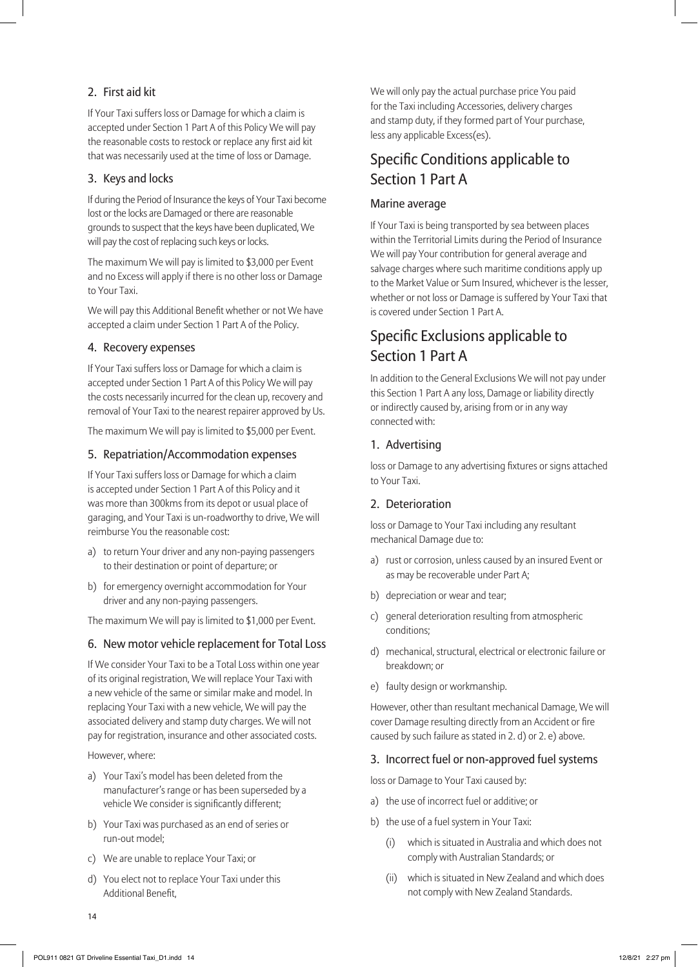#### 2. First aid kit

If Your Taxi suffers loss or Damage for which a claim is accepted under Section 1 Part A of this Policy We will pay the reasonable costs to restock or replace any first aid kit that was necessarily used at the time of loss or Damage.

#### 3. Keys and locks

If during the Period of Insurance the keys of Your Taxi become lost or the locks are Damaged or there are reasonable grounds to suspect that the keys have been duplicated, We will pay the cost of replacing such keys or locks.

The maximum We will pay is limited to \$3,000 per Event and no Excess will apply if there is no other loss or Damage to Your Taxi.

We will pay this Additional Benefit whether or not We have accepted a claim under Section 1 Part A of the Policy.

#### 4. Recovery expenses

If Your Taxi suffers loss or Damage for which a claim is accepted under Section 1 Part A of this Policy We will pay the costs necessarily incurred for the clean up, recovery and removal of Your Taxi to the nearest repairer approved by Us.

The maximum We will pay is limited to \$5,000 per Event.

#### 5. Repatriation/Accommodation expenses

If Your Taxi suffers loss or Damage for which a claim is accepted under Section 1 Part A of this Policy and it was more than 300kms from its depot or usual place of garaging, and Your Taxi is un-roadworthy to drive, We will reimburse You the reasonable cost:

- a) to return Your driver and any non-paying passengers to their destination or point of departure; or
- b) for emergency overnight accommodation for Your driver and any non-paying passengers.

The maximum We will pay is limited to \$1,000 per Event.

#### 6. New motor vehicle replacement for Total Loss

If We consider Your Taxi to be a Total Loss within one year of its original registration, We will replace Your Taxi with a new vehicle of the same or similar make and model. In replacing Your Taxi with a new vehicle, We will pay the associated delivery and stamp duty charges. We will not pay for registration, insurance and other associated costs.

However, where:

- a) Your Taxi's model has been deleted from the manufacturer's range or has been superseded by a vehicle We consider is significantly different;
- b) Your Taxi was purchased as an end of series or run-out model;
- c) We are unable to replace Your Taxi; or
- d) You elect not to replace Your Taxi under this Additional Benefit,

We will only pay the actual purchase price You paid for the Taxi including Accessories, delivery charges and stamp duty, if they formed part of Your purchase, less any applicable Excess(es).

# Specific Conditions applicable to Section 1 Part A

#### Marine average

If Your Taxi is being transported by sea between places within the Territorial Limits during the Period of Insurance We will pay Your contribution for general average and salvage charges where such maritime conditions apply up to the Market Value or Sum Insured, whichever is the lesser, whether or not loss or Damage is suffered by Your Taxi that is covered under Section 1 Part A.

# Specific Exclusions applicable to Section 1 Part A

In addition to the General Exclusions We will not pay under this Section 1 Part A any loss, Damage or liability directly or indirectly caused by, arising from or in any way connected with:

#### 1. Advertising

loss or Damage to any advertising fixtures or signs attached to Your Taxi.

#### 2. Deterioration

loss or Damage to Your Taxi including any resultant mechanical Damage due to:

- a) rust or corrosion, unless caused by an insured Event or as may be recoverable under Part A;
- b) depreciation or wear and tear;
- c) general deterioration resulting from atmospheric conditions;
- d) mechanical, structural, electrical or electronic failure or breakdown; or
- e) faulty design or workmanship.

However, other than resultant mechanical Damage, We will cover Damage resulting directly from an Accident or fire caused by such failure as stated in 2. d) or 2. e) above.

#### 3. Incorrect fuel or non-approved fuel systems

loss or Damage to Your Taxi caused by:

- a) the use of incorrect fuel or additive; or
- b) the use of a fuel system in Your Taxi:
	- (i) which is situated in Australia and which does not comply with Australian Standards; or
	- (ii) which is situated in New Zealand and which does not comply with New Zealand Standards.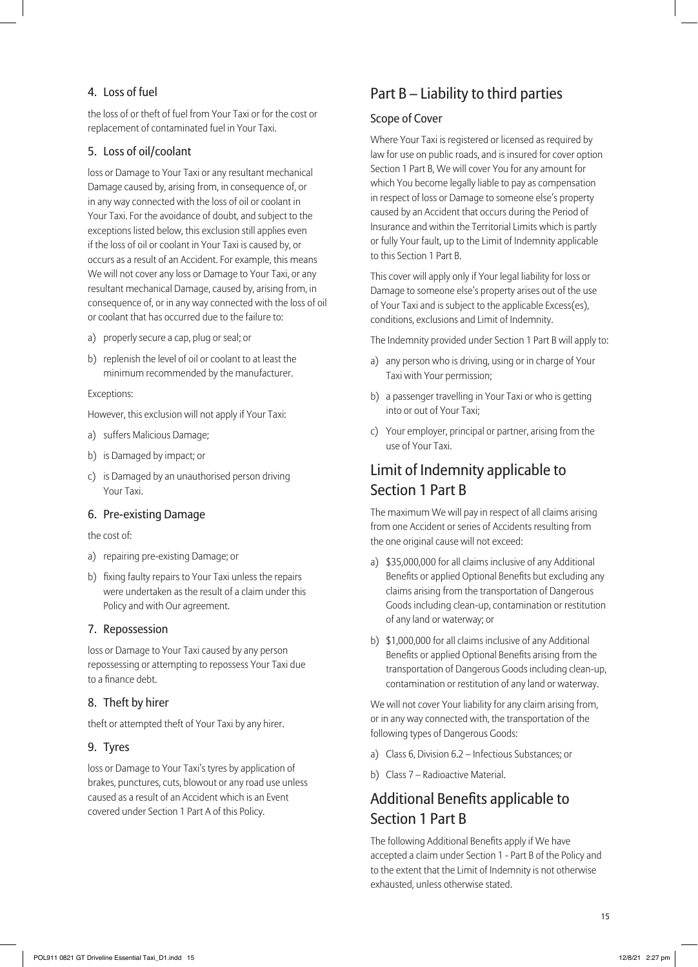#### 4. Loss of fuel

the loss of or theft of fuel from Your Taxi or for the cost or replacement of contaminated fuel in Your Taxi.

#### 5. Loss of oil/coolant

loss or Damage to Your Taxi or any resultant mechanical Damage caused by, arising from, in consequence of, or in any way connected with the loss of oil or coolant in Your Taxi. For the avoidance of doubt, and subject to the exceptions listed below, this exclusion still applies even if the loss of oil or coolant in Your Taxi is caused by, or occurs as a result of an Accident. For example, this means We will not cover any loss or Damage to Your Taxi, or any resultant mechanical Damage, caused by, arising from, in consequence of, or in any way connected with the loss of oil or coolant that has occurred due to the failure to:

- a) properly secure a cap, plug or seal; or
- b) replenish the level of oil or coolant to at least the minimum recommended by the manufacturer.

#### Exceptions:

However, this exclusion will not apply if Your Taxi:

- a) suffers Malicious Damage;
- b) is Damaged by impact; or
- c) is Damaged by an unauthorised person driving Your Taxi.

#### 6. Pre-existing Damage

#### the cost of:

- a) repairing pre-existing Damage; or
- b) fixing faulty repairs to Your Taxi unless the repairs were undertaken as the result of a claim under this Policy and with Our agreement.

#### 7. Repossession

loss or Damage to Your Taxi caused by any person repossessing or attempting to repossess Your Taxi due to a finance debt.

#### 8. Theft by hirer

theft or attempted theft of Your Taxi by any hirer.

#### 9. Tyres

loss or Damage to Your Taxi's tyres by application of brakes, punctures, cuts, blowout or any road use unless caused as a result of an Accident which is an Event covered under Section 1 Part A of this Policy.

# Part B – Liability to third parties

#### Scope of Cover

Where Your Taxi is registered or licensed as required by law for use on public roads, and is insured for cover option Section 1 Part B, We will cover You for any amount for which You become legally liable to pay as compensation in respect of loss or Damage to someone else's property caused by an Accident that occurs during the Period of Insurance and within the Territorial Limits which is partly or fully Your fault, up to the Limit of Indemnity applicable to this Section 1 Part B.

This cover will apply only if Your legal liability for loss or Damage to someone else's property arises out of the use of Your Taxi and is subject to the applicable Excess(es), conditions, exclusions and Limit of Indemnity.

The Indemnity provided under Section 1 Part B will apply to:

- a) any person who is driving, using or in charge of Your Taxi with Your permission;
- b) a passenger travelling in Your Taxi or who is getting into or out of Your Taxi;
- c) Your employer, principal or partner, arising from the use of Your Taxi.

# Limit of Indemnity applicable to Section 1 Part B

The maximum We will pay in respect of all claims arising from one Accident or series of Accidents resulting from the one original cause will not exceed:

- a) \$35,000,000 for all claims inclusive of any Additional Benefits or applied Optional Benefits but excluding any claims arising from the transportation of Dangerous Goods including clean-up, contamination or restitution of any land or waterway; or
- b) \$1,000,000 for all claims inclusive of any Additional Benefits or applied Optional Benefits arising from the transportation of Dangerous Goods including clean-up, contamination or restitution of any land or waterway.

We will not cover Your liability for any claim arising from, or in any way connected with, the transportation of the following types of Dangerous Goods:

- a) Class 6, Division 6.2 Infectious Substances; or
- b) Class 7 Radioactive Material.

# Additional Benefits applicable to Section 1 Part B

The following Additional Benefits apply if We have accepted a claim under Section 1 - Part B of the Policy and to the extent that the Limit of Indemnity is not otherwise exhausted, unless otherwise stated.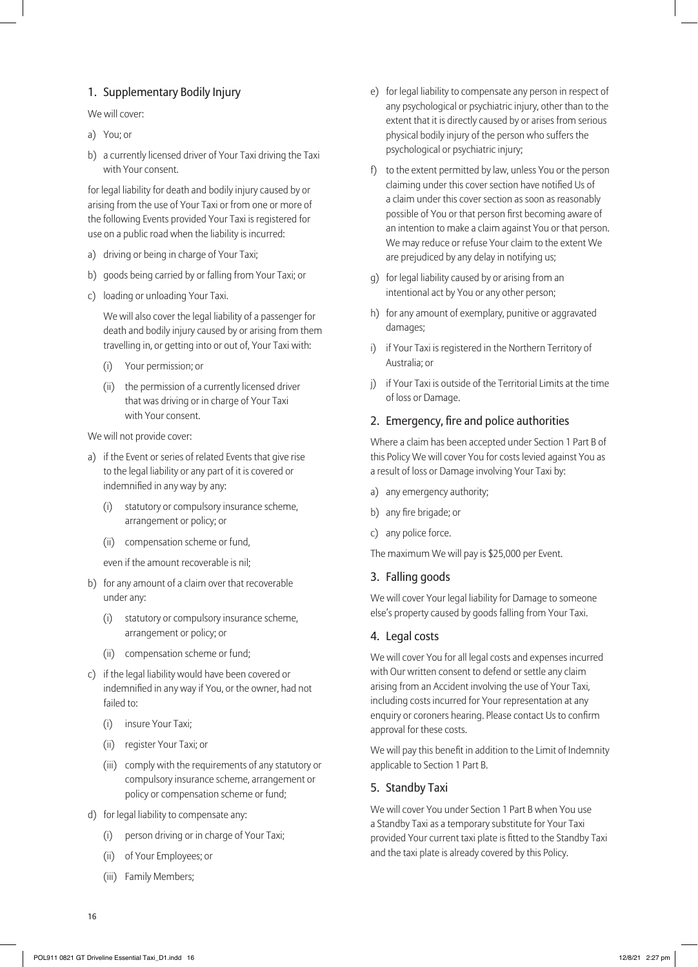#### 1. Supplementary Bodily Injury

We will cover:

- a) You; or
- b) a currently licensed driver of Your Taxi driving the Taxi with Your consent.

for legal liability for death and bodily injury caused by or arising from the use of Your Taxi or from one or more of the following Events provided Your Taxi is registered for use on a public road when the liability is incurred:

- a) driving or being in charge of Your Taxi;
- b) goods being carried by or falling from Your Taxi; or
- c) loading or unloading Your Taxi.

We will also cover the legal liability of a passenger for death and bodily injury caused by or arising from them travelling in, or getting into or out of, Your Taxi with:

- (i) Your permission; or
- (ii) the permission of a currently licensed driver that was driving or in charge of Your Taxi with Your consent.

We will not provide cover:

- a) if the Event or series of related Events that give rise to the legal liability or any part of it is covered or indemnified in any way by any:
	- (i) statutory or compulsory insurance scheme, arrangement or policy; or
	- (ii) compensation scheme or fund,
	- even if the amount recoverable is nil;
- b) for any amount of a claim over that recoverable under any:
	- (i) statutory or compulsory insurance scheme, arrangement or policy; or
	- (ii) compensation scheme or fund;
- c) if the legal liability would have been covered or indemnified in any way if You, or the owner, had not failed to:
	- (i) insure Your Taxi;
	- (ii) register Your Taxi; or
	- (iii) comply with the requirements of any statutory or compulsory insurance scheme, arrangement or policy or compensation scheme or fund;
- d) for legal liability to compensate any:
	- (i) person driving or in charge of Your Taxi;
	- (ii) of Your Employees; or
	- (iii) Family Members;
- e) for legal liability to compensate any person in respect of any psychological or psychiatric injury, other than to the extent that it is directly caused by or arises from serious physical bodily injury of the person who suffers the psychological or psychiatric injury;
- f) to the extent permitted by law, unless You or the person claiming under this cover section have notified Us of a claim under this cover section as soon as reasonably possible of You or that person first becoming aware of an intention to make a claim against You or that person. We may reduce or refuse Your claim to the extent We are prejudiced by any delay in notifying us;
- g) for legal liability caused by or arising from an intentional act by You or any other person;
- h) for any amount of exemplary, punitive or aggravated damages;
- i) if Your Taxi is registered in the Northern Territory of Australia; or
- j) if Your Taxi is outside of the Territorial Limits at the time of loss or Damage.

#### 2. Emergency, fire and police authorities

Where a claim has been accepted under Section 1 Part B of this Policy We will cover You for costs levied against You as a result of loss or Damage involving Your Taxi by:

- a) any emergency authority;
- b) any fire brigade; or
- c) any police force.

The maximum We will pay is \$25,000 per Event.

#### 3. Falling goods

We will cover Your legal liability for Damage to someone else's property caused by goods falling from Your Taxi.

#### 4. Legal costs

We will cover You for all legal costs and expenses incurred with Our written consent to defend or settle any claim arising from an Accident involving the use of Your Taxi, including costs incurred for Your representation at any enquiry or coroners hearing. Please contact Us to confirm approval for these costs.

We will pay this benefit in addition to the Limit of Indemnity applicable to Section 1 Part B.

#### 5. Standby Taxi

We will cover You under Section 1 Part B when You use a Standby Taxi as a temporary substitute for Your Taxi provided Your current taxi plate is fitted to the Standby Taxi and the taxi plate is already covered by this Policy.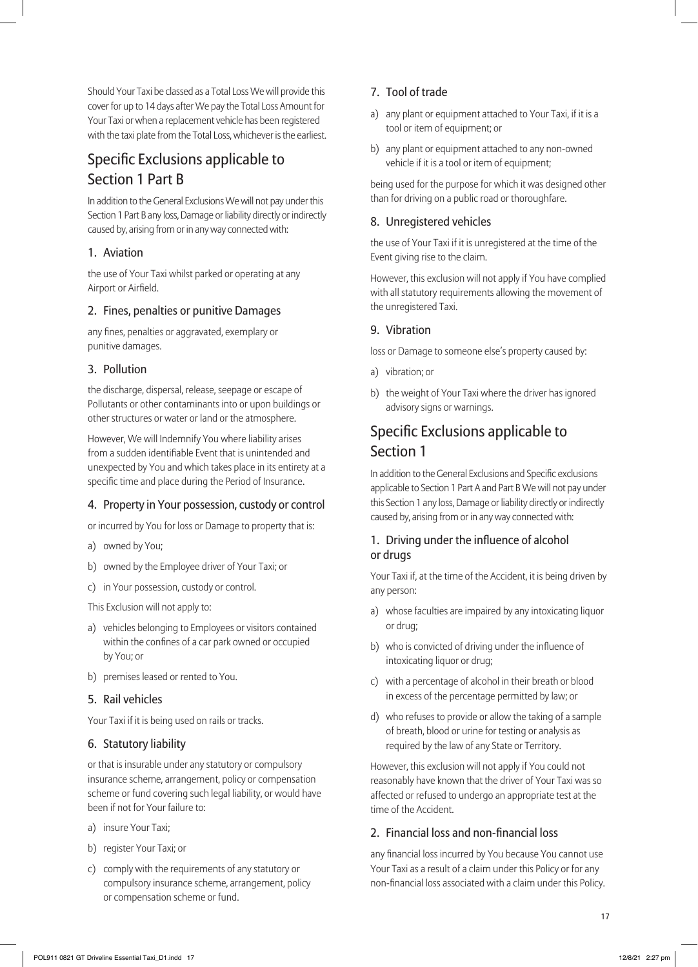Should Your Taxi be classed as a Total Loss We will provide this cover for up to 14 days after We pay the Total Loss Amount for Your Taxi or when a replacement vehicle has been registered with the taxi plate from the Total Loss, whichever is the earliest.

# Specific Exclusions applicable to Section 1 Part B

In addition to the General Exclusions We will not pay under this Section 1 Part B any loss, Damage or liability directly or indirectly caused by, arising from or in any way connected with:

#### 1. Aviation

the use of Your Taxi whilst parked or operating at any Airport or Airfield.

#### 2. Fines, penalties or punitive Damages

any fines, penalties or aggravated, exemplary or punitive damages.

#### 3. Pollution

the discharge, dispersal, release, seepage or escape of Pollutants or other contaminants into or upon buildings or other structures or water or land or the atmosphere.

However, We will Indemnify You where liability arises from a sudden identifiable Event that is unintended and unexpected by You and which takes place in its entirety at a specific time and place during the Period of Insurance.

#### 4. Property in Your possession, custody or control

or incurred by You for loss or Damage to property that is:

- a) owned by You;
- b) owned by the Employee driver of Your Taxi; or
- c) in Your possession, custody or control.

This Exclusion will not apply to:

- a) vehicles belonging to Employees or visitors contained within the confines of a car park owned or occupied by You; or
- b) premises leased or rented to You.

#### 5. Rail vehicles

Your Taxi if it is being used on rails or tracks.

#### 6. Statutory liability

or that is insurable under any statutory or compulsory insurance scheme, arrangement, policy or compensation scheme or fund covering such legal liability, or would have been if not for Your failure to:

- a) insure Your Taxi;
- b) register Your Taxi; or
- c) comply with the requirements of any statutory or compulsory insurance scheme, arrangement, policy or compensation scheme or fund.

#### 7. Tool of trade

- a) any plant or equipment attached to Your Taxi, if it is a tool or item of equipment; or
- b) any plant or equipment attached to any non-owned vehicle if it is a tool or item of equipment;

being used for the purpose for which it was designed other than for driving on a public road or thoroughfare.

#### 8. Unregistered vehicles

the use of Your Taxi if it is unregistered at the time of the Event giving rise to the claim.

However, this exclusion will not apply if You have complied with all statutory requirements allowing the movement of the unregistered Taxi.

#### 9. Vibration

loss or Damage to someone else's property caused by:

- a) vibration; or
- b) the weight of Your Taxi where the driver has ignored advisory signs or warnings.

# Specific Exclusions applicable to Section 1

In addition to the General Exclusions and Specific exclusions applicable to Section 1 Part A and Part B We will not pay under this Section 1 any loss, Damage or liability directly or indirectly caused by, arising from or in any way connected with:

#### 1. Driving under the influence of alcohol or drugs

Your Taxi if, at the time of the Accident, it is being driven by any person:

- a) whose faculties are impaired by any intoxicating liquor or drug;
- b) who is convicted of driving under the influence of intoxicating liquor or drug;
- c) with a percentage of alcohol in their breath or blood in excess of the percentage permitted by law; or
- d) who refuses to provide or allow the taking of a sample of breath, blood or urine for testing or analysis as required by the law of any State or Territory.

However, this exclusion will not apply if You could not reasonably have known that the driver of Your Taxi was so affected or refused to undergo an appropriate test at the time of the Accident.

#### 2. Financial loss and non-financial loss

any financial loss incurred by You because You cannot use Your Taxi as a result of a claim under this Policy or for any non-financial loss associated with a claim under this Policy.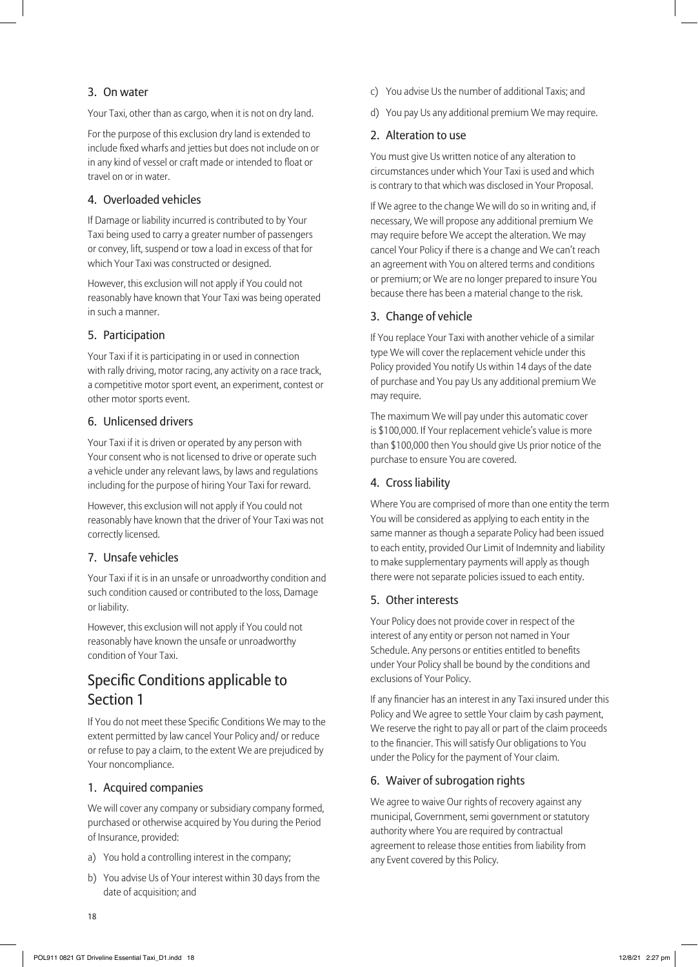#### 3. On water

Your Taxi, other than as cargo, when it is not on dry land.

For the purpose of this exclusion dry land is extended to include fixed wharfs and jetties but does not include on or in any kind of vessel or craft made or intended to float or travel on or in water.

#### 4. Overloaded vehicles

If Damage or liability incurred is contributed to by Your Taxi being used to carry a greater number of passengers or convey, lift, suspend or tow a load in excess of that for which Your Taxi was constructed or designed.

However, this exclusion will not apply if You could not reasonably have known that Your Taxi was being operated in such a manner.

#### 5. Participation

Your Taxi if it is participating in or used in connection with rally driving, motor racing, any activity on a race track, a competitive motor sport event, an experiment, contest or other motor sports event.

#### 6. Unlicensed drivers

Your Taxi if it is driven or operated by any person with Your consent who is not licensed to drive or operate such a vehicle under any relevant laws, by laws and regulations including for the purpose of hiring Your Taxi for reward.

However, this exclusion will not apply if You could not reasonably have known that the driver of Your Taxi was not correctly licensed.

#### 7. Unsafe vehicles

Your Taxi if it is in an unsafe or unroadworthy condition and such condition caused or contributed to the loss, Damage or liability.

However, this exclusion will not apply if You could not reasonably have known the unsafe or unroadworthy condition of Your Taxi.

# Specific Conditions applicable to Section 1

If You do not meet these Specific Conditions We may to the extent permitted by law cancel Your Policy and/ or reduce or refuse to pay a claim, to the extent We are prejudiced by Your noncompliance.

#### 1. Acquired companies

We will cover any company or subsidiary company formed, purchased or otherwise acquired by You during the Period of Insurance, provided:

- a) You hold a controlling interest in the company;
- b) You advise Us of Your interest within 30 days from the date of acquisition; and
- c) You advise Us the number of additional Taxis; and
- d) You pay Us any additional premium We may require.

#### 2. Alteration to use

You must give Us written notice of any alteration to circumstances under which Your Taxi is used and which is contrary to that which was disclosed in Your Proposal.

If We agree to the change We will do so in writing and, if necessary, We will propose any additional premium We may require before We accept the alteration. We may cancel Your Policy if there is a change and We can't reach an agreement with You on altered terms and conditions or premium; or We are no longer prepared to insure You because there has been a material change to the risk.

#### 3. Change of vehicle

If You replace Your Taxi with another vehicle of a similar type We will cover the replacement vehicle under this Policy provided You notify Us within 14 days of the date of purchase and You pay Us any additional premium We may require.

The maximum We will pay under this automatic cover is \$100,000. If Your replacement vehicle's value is more than \$100,000 then You should give Us prior notice of the purchase to ensure You are covered.

#### 4. Cross liability

Where You are comprised of more than one entity the term You will be considered as applying to each entity in the same manner as though a separate Policy had been issued to each entity, provided Our Limit of Indemnity and liability to make supplementary payments will apply as though there were not separate policies issued to each entity.

#### 5. Other interests

Your Policy does not provide cover in respect of the interest of any entity or person not named in Your Schedule. Any persons or entities entitled to benefits under Your Policy shall be bound by the conditions and exclusions of Your Policy.

If any financier has an interest in any Taxi insured under this Policy and We agree to settle Your claim by cash payment, We reserve the right to pay all or part of the claim proceeds to the financier. This will satisfy Our obligations to You under the Policy for the payment of Your claim.

#### 6. Waiver of subrogation rights

We agree to waive Our rights of recovery against any municipal, Government, semi government or statutory authority where You are required by contractual agreement to release those entities from liability from any Event covered by this Policy.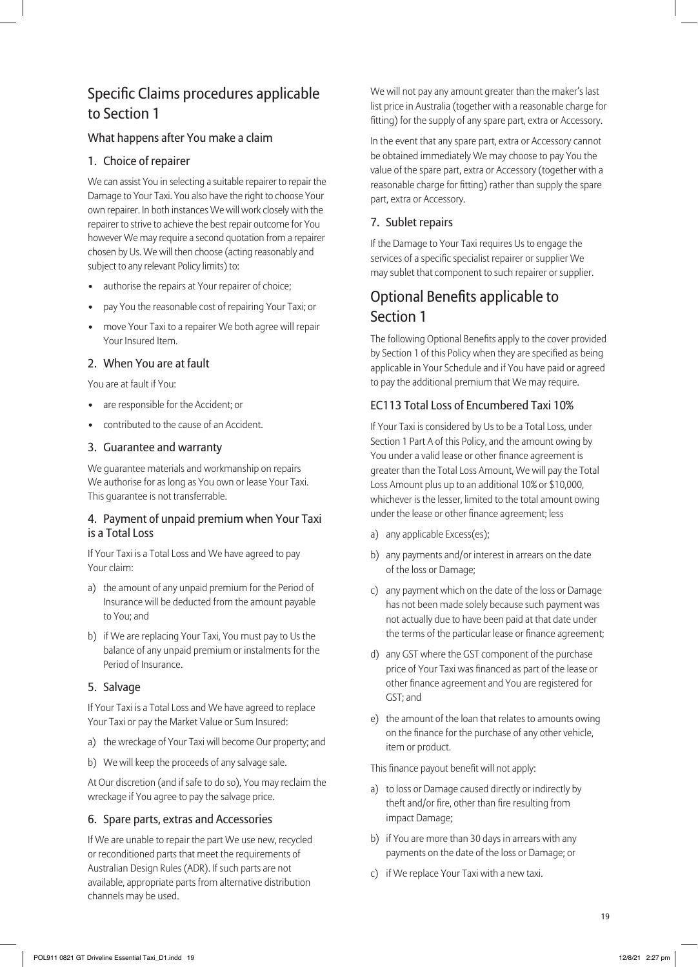# Specific Claims procedures applicable to Section 1

#### What happens after You make a claim

#### 1. Choice of repairer

We can assist You in selecting a suitable repairer to repair the Damage to Your Taxi. You also have the right to choose Your own repairer. In both instances We will work closely with the repairer to strive to achieve the best repair outcome for You however We may require a second quotation from a repairer chosen by Us. We will then choose (acting reasonably and subject to any relevant Policy limits) to:

- authorise the repairs at Your repairer of choice;
- pay You the reasonable cost of repairing Your Taxi; or
- move Your Taxi to a repairer We both agree will repair Your Insured Item.

#### 2. When You are at fault

You are at fault if You:

- are responsible for the Accident; or
- contributed to the cause of an Accident.

#### 3. Guarantee and warranty

We guarantee materials and workmanship on repairs We authorise for as long as You own or lease Your Taxi. This guarantee is not transferrable.

#### 4. Payment of unpaid premium when Your Taxi is a Total Loss

If Your Taxi is a Total Loss and We have agreed to pay Your claim:

- a) the amount of any unpaid premium for the Period of Insurance will be deducted from the amount payable to You; and
- b) if We are replacing Your Taxi, You must pay to Us the balance of any unpaid premium or instalments for the Period of Insurance.

#### 5. Salvage

If Your Taxi is a Total Loss and We have agreed to replace Your Taxi or pay the Market Value or Sum Insured:

- a) the wreckage of Your Taxi will become Our property; and
- b) We will keep the proceeds of any salvage sale.

At Our discretion (and if safe to do so), You may reclaim the wreckage if You agree to pay the salvage price.

#### 6. Spare parts, extras and Accessories

If We are unable to repair the part We use new, recycled or reconditioned parts that meet the requirements of Australian Design Rules (ADR). If such parts are not available, appropriate parts from alternative distribution channels may be used.

We will not pay any amount greater than the maker's last list price in Australia (together with a reasonable charge for fitting) for the supply of any spare part, extra or Accessory.

In the event that any spare part, extra or Accessory cannot be obtained immediately We may choose to pay You the value of the spare part, extra or Accessory (together with a reasonable charge for fitting) rather than supply the spare part, extra or Accessory.

#### 7. Sublet repairs

If the Damage to Your Taxi requires Us to engage the services of a specific specialist repairer or supplier We may sublet that component to such repairer or supplier.

# Optional Benefits applicable to Section 1

The following Optional Benefits apply to the cover provided by Section 1 of this Policy when they are specified as being applicable in Your Schedule and if You have paid or agreed to pay the additional premium that We may require.

#### EC113 Total Loss of Encumbered Taxi 10%

If Your Taxi is considered by Us to be a Total Loss, under Section 1 Part A of this Policy, and the amount owing by You under a valid lease or other finance agreement is greater than the Total Loss Amount, We will pay the Total Loss Amount plus up to an additional 10% or \$10,000, whichever is the lesser, limited to the total amount owing under the lease or other finance agreement; less

- a) any applicable Excess(es);
- b) any payments and/or interest in arrears on the date of the loss or Damage;
- c) any payment which on the date of the loss or Damage has not been made solely because such payment was not actually due to have been paid at that date under the terms of the particular lease or finance agreement;
- d) any GST where the GST component of the purchase price of Your Taxi was financed as part of the lease or other finance agreement and You are registered for GST; and
- e) the amount of the loan that relates to amounts owing on the finance for the purchase of any other vehicle, item or product.

This finance payout benefit will not apply:

- a) to loss or Damage caused directly or indirectly by theft and/or fire, other than fire resulting from impact Damage;
- b) if You are more than 30 days in arrears with any payments on the date of the loss or Damage; or
- c) if We replace Your Taxi with a new taxi.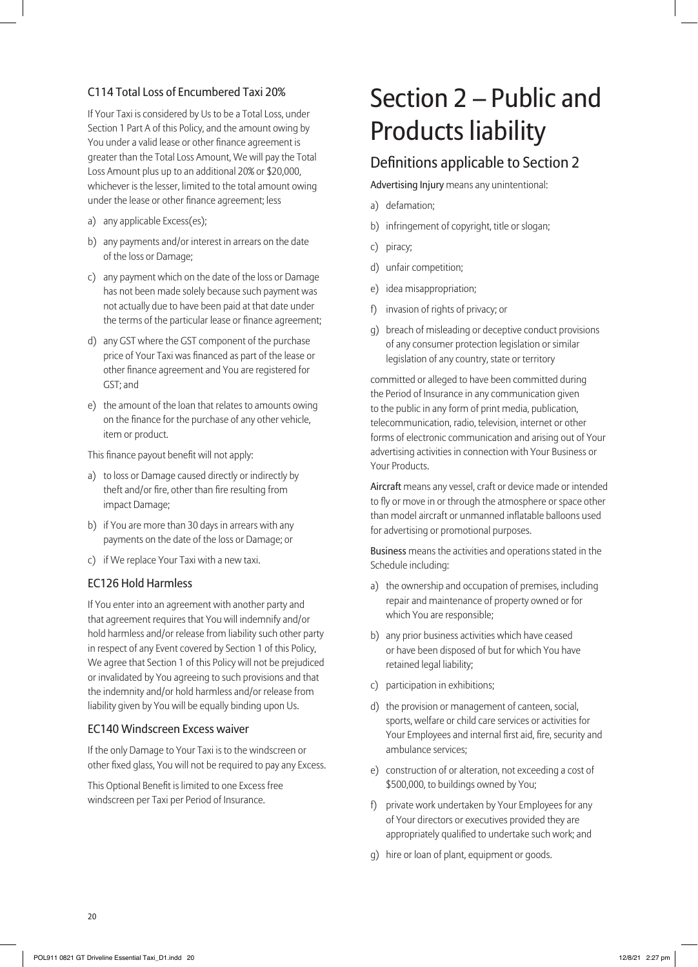#### C114 Total Loss of Encumbered Taxi 20%

If Your Taxi is considered by Us to be a Total Loss, under Section 1 Part A of this Policy, and the amount owing by You under a valid lease or other finance agreement is greater than the Total Loss Amount, We will pay the Total Loss Amount plus up to an additional 20% or \$20,000, whichever is the lesser, limited to the total amount owing under the lease or other finance agreement; less

- a) any applicable Excess(es);
- b) any payments and/or interest in arrears on the date of the loss or Damage;
- c) any payment which on the date of the loss or Damage has not been made solely because such payment was not actually due to have been paid at that date under the terms of the particular lease or finance agreement;
- d) any GST where the GST component of the purchase price of Your Taxi was financed as part of the lease or other finance agreement and You are registered for GST; and
- e) the amount of the loan that relates to amounts owing on the finance for the purchase of any other vehicle, item or product.

This finance payout benefit will not apply:

- a) to loss or Damage caused directly or indirectly by theft and/or fire, other than fire resulting from impact Damage;
- b) if You are more than 30 days in arrears with any payments on the date of the loss or Damage; or
- c) if We replace Your Taxi with a new taxi.

#### EC126 Hold Harmless

If You enter into an agreement with another party and that agreement requires that You will indemnify and/or hold harmless and/or release from liability such other party in respect of any Event covered by Section 1 of this Policy, We agree that Section 1 of this Policy will not be prejudiced or invalidated by You agreeing to such provisions and that the indemnity and/or hold harmless and/or release from liability given by You will be equally binding upon Us.

#### EC140 Windscreen Excess waiver

If the only Damage to Your Taxi is to the windscreen or other fixed glass, You will not be required to pay any Excess.

This Optional Benefit is limited to one Excess free windscreen per Taxi per Period of Insurance.

# Section 2 – Public and Products liability

# Definitions applicable to Section 2

Advertising Injury means any unintentional:

- a) defamation;
- b) infringement of copyright, title or slogan;
- c) piracy;
- d) unfair competition;
- e) idea misappropriation;
- f) invasion of rights of privacy; or
- g) breach of misleading or deceptive conduct provisions of any consumer protection legislation or similar legislation of any country, state or territory

committed or alleged to have been committed during the Period of Insurance in any communication given to the public in any form of print media, publication, telecommunication, radio, television, internet or other forms of electronic communication and arising out of Your advertising activities in connection with Your Business or Your Products.

Aircraft means any vessel, craft or device made or intended to fly or move in or through the atmosphere or space other than model aircraft or unmanned inflatable balloons used for advertising or promotional purposes.

Business means the activities and operations stated in the Schedule including:

- a) the ownership and occupation of premises, including repair and maintenance of property owned or for which You are responsible;
- b) any prior business activities which have ceased or have been disposed of but for which You have retained legal liability;
- c) participation in exhibitions;
- d) the provision or management of canteen, social, sports, welfare or child care services or activities for Your Employees and internal first aid, fire, security and ambulance services;
- e) construction of or alteration, not exceeding a cost of \$500,000, to buildings owned by You;
- f) private work undertaken by Your Employees for any of Your directors or executives provided they are appropriately qualified to undertake such work; and
- g) hire or loan of plant, equipment or goods.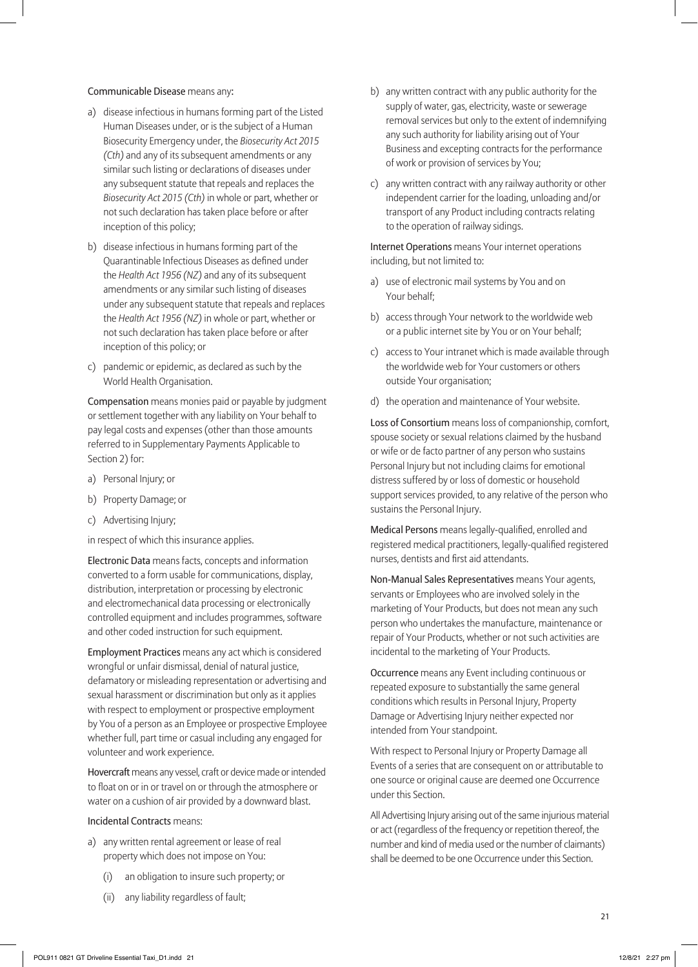#### Communicable Disease means any:

- a) disease infectious in humans forming part of the Listed Human Diseases under, or is the subject of a Human Biosecurity Emergency under, the *Biosecurity Act 2015 (Cth)* and any of its subsequent amendments or any similar such listing or declarations of diseases under any subsequent statute that repeals and replaces the *Biosecurity Act 2015 (Cth)* in whole or part, whether or not such declaration has taken place before or after inception of this policy;
- b) disease infectious in humans forming part of the Quarantinable Infectious Diseases as defined under the *Health Act 1956 (NZ)* and any of its subsequent amendments or any similar such listing of diseases under any subsequent statute that repeals and replaces the *Health Act 1956 (NZ)* in whole or part, whether or not such declaration has taken place before or after inception of this policy; or
- c) pandemic or epidemic, as declared as such by the World Health Organisation.

Compensation means monies paid or payable by judgment or settlement together with any liability on Your behalf to pay legal costs and expenses (other than those amounts referred to in Supplementary Payments Applicable to Section 2) for:

- a) Personal Injury; or
- b) Property Damage; or
- c) Advertising Injury;
- in respect of which this insurance applies.

Electronic Data means facts, concepts and information converted to a form usable for communications, display, distribution, interpretation or processing by electronic and electromechanical data processing or electronically controlled equipment and includes programmes, software and other coded instruction for such equipment.

Employment Practices means any act which is considered wrongful or unfair dismissal, denial of natural justice, defamatory or misleading representation or advertising and sexual harassment or discrimination but only as it applies with respect to employment or prospective employment by You of a person as an Employee or prospective Employee whether full, part time or casual including any engaged for volunteer and work experience.

Hovercraft means any vessel, craft or device made or intended to float on or in or travel on or through the atmosphere or water on a cushion of air provided by a downward blast.

#### Incidental Contracts means:

- a) any written rental agreement or lease of real property which does not impose on You:
	- (i) an obligation to insure such property; or
	- (ii) any liability regardless of fault;
- b) any written contract with any public authority for the supply of water, gas, electricity, waste or sewerage removal services but only to the extent of indemnifying any such authority for liability arising out of Your Business and excepting contracts for the performance of work or provision of services by You;
- c) any written contract with any railway authority or other independent carrier for the loading, unloading and/or transport of any Product including contracts relating to the operation of railway sidings.

Internet Operations means Your internet operations including, but not limited to:

- a) use of electronic mail systems by You and on Your behalf;
- b) access through Your network to the worldwide web or a public internet site by You or on Your behalf;
- c) access to Your intranet which is made available through the worldwide web for Your customers or others outside Your organisation;
- d) the operation and maintenance of Your website.

Loss of Consortium means loss of companionship, comfort, spouse society or sexual relations claimed by the husband or wife or de facto partner of any person who sustains Personal Injury but not including claims for emotional distress suffered by or loss of domestic or household support services provided, to any relative of the person who sustains the Personal Injury.

Medical Persons means legally-qualified, enrolled and registered medical practitioners, legally-qualified registered nurses, dentists and first aid attendants.

Non-Manual Sales Representatives means Your agents, servants or Employees who are involved solely in the marketing of Your Products, but does not mean any such person who undertakes the manufacture, maintenance or repair of Your Products, whether or not such activities are incidental to the marketing of Your Products.

Occurrence means any Event including continuous or repeated exposure to substantially the same general conditions which results in Personal Injury, Property Damage or Advertising Injury neither expected nor intended from Your standpoint.

With respect to Personal Injury or Property Damage all Events of a series that are consequent on or attributable to one source or original cause are deemed one Occurrence under this Section.

All Advertising Injury arising out of the same injurious material or act (regardless of the frequency or repetition thereof, the number and kind of media used or the number of claimants) shall be deemed to be one Occurrence under this Section.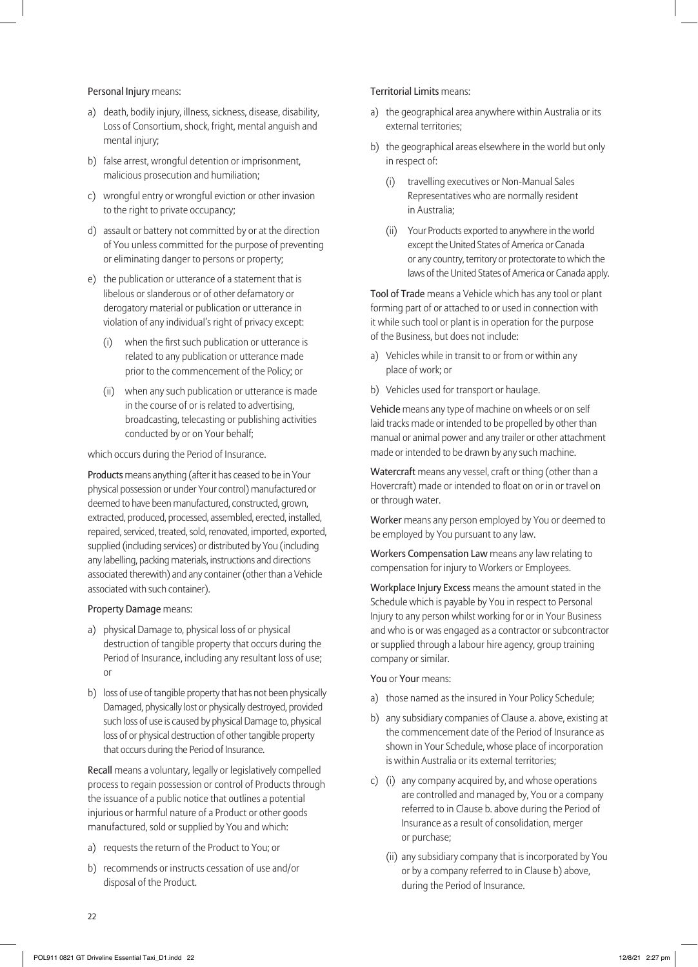Personal Injury means:

- a) death, bodily injury, illness, sickness, disease, disability, Loss of Consortium, shock, fright, mental anguish and mental injury;
- b) false arrest, wrongful detention or imprisonment, malicious prosecution and humiliation;
- c) wrongful entry or wrongful eviction or other invasion to the right to private occupancy;
- d) assault or battery not committed by or at the direction of You unless committed for the purpose of preventing or eliminating danger to persons or property;
- e) the publication or utterance of a statement that is libelous or slanderous or of other defamatory or derogatory material or publication or utterance in violation of any individual's right of privacy except:
	- (i) when the first such publication or utterance is related to any publication or utterance made prior to the commencement of the Policy; or
	- (ii) when any such publication or utterance is made in the course of or is related to advertising, broadcasting, telecasting or publishing activities conducted by or on Your behalf;

which occurs during the Period of Insurance.

Products means anything (after it has ceased to be in Your physical possession or under Your control) manufactured or deemed to have been manufactured, constructed, grown, extracted, produced, processed, assembled, erected, installed, repaired, serviced, treated, sold, renovated, imported, exported, supplied (including services) or distributed by You (including any labelling, packing materials, instructions and directions associated therewith) and any container (other than a Vehicle associated with such container).

#### Property Damage means:

- a) physical Damage to, physical loss of or physical destruction of tangible property that occurs during the Period of Insurance, including any resultant loss of use; or
- b) loss of use of tangible property that has not been physically Damaged, physically lost or physically destroyed, provided such loss of use is caused by physical Damage to, physical loss of or physical destruction of other tangible property that occurs during the Period of Insurance.

Recall means a voluntary, legally or legislatively compelled process to regain possession or control of Products through the issuance of a public notice that outlines a potential injurious or harmful nature of a Product or other goods manufactured, sold or supplied by You and which:

- a) requests the return of the Product to You; or
- b) recommends or instructs cessation of use and/or disposal of the Product.

#### Territorial Limits means:

- a) the geographical area anywhere within Australia or its external territories;
- b) the geographical areas elsewhere in the world but only in respect of:
	- (i) travelling executives or Non-Manual Sales Representatives who are normally resident in Australia;
	- (ii) Your Products exported to anywhere in the world except the United States of America or Canada or any country, territory or protectorate to which the laws of the United States of America or Canada apply.

Tool of Trade means a Vehicle which has any tool or plant forming part of or attached to or used in connection with it while such tool or plant is in operation for the purpose of the Business, but does not include:

- a) Vehicles while in transit to or from or within any place of work; or
- b) Vehicles used for transport or haulage.

Vehicle means any type of machine on wheels or on self laid tracks made or intended to be propelled by other than manual or animal power and any trailer or other attachment made or intended to be drawn by any such machine.

Watercraft means any vessel, craft or thing (other than a Hovercraft) made or intended to float on or in or travel on or through water.

Worker means any person employed by You or deemed to be employed by You pursuant to any law.

Workers Compensation Law means any law relating to compensation for injury to Workers or Employees.

Workplace Injury Excess means the amount stated in the Schedule which is payable by You in respect to Personal Injury to any person whilst working for or in Your Business and who is or was engaged as a contractor or subcontractor or supplied through a labour hire agency, group training company or similar.

#### You or Your means:

- a) those named as the insured in Your Policy Schedule;
- b) any subsidiary companies of Clause a. above, existing at the commencement date of the Period of Insurance as shown in Your Schedule, whose place of incorporation is within Australia or its external territories;
- c) (i) any company acquired by, and whose operations are controlled and managed by, You or a company referred to in Clause b. above during the Period of Insurance as a result of consolidation, merger or purchase;
	- (ii) any subsidiary company that is incorporated by You or by a company referred to in Clause b) above, during the Period of Insurance.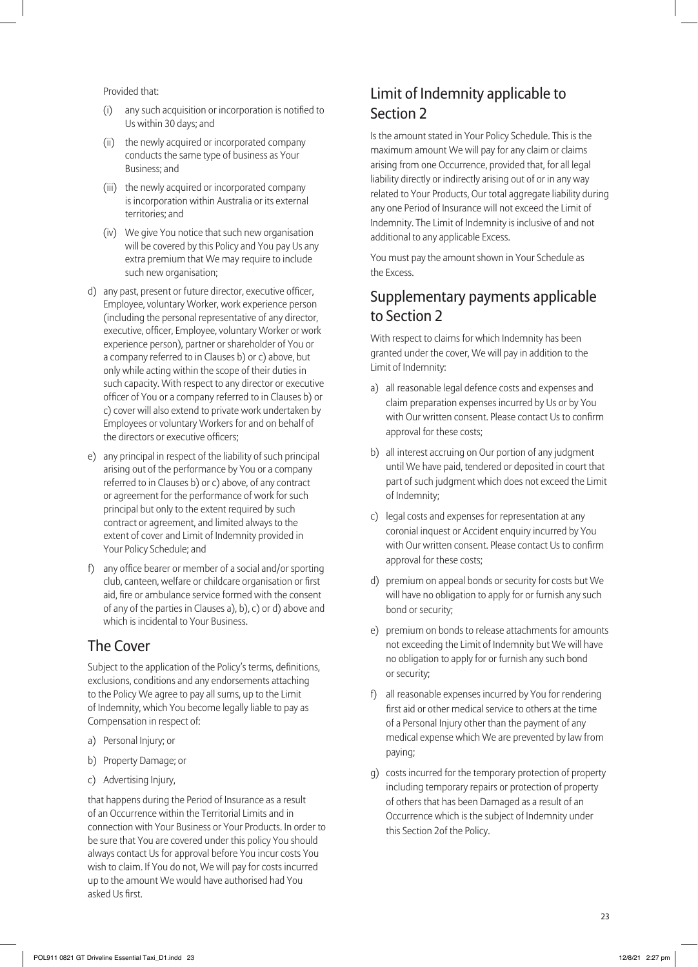Provided that:

- (i) any such acquisition or incorporation is notified to Us within 30 days; and
- (ii) the newly acquired or incorporated company conducts the same type of business as Your Business; and
- (iii) the newly acquired or incorporated company is incorporation within Australia or its external territories; and
- (iv) We give You notice that such new organisation will be covered by this Policy and You pay Us any extra premium that We may require to include such new organisation;
- d) any past, present or future director, executive officer, Employee, voluntary Worker, work experience person (including the personal representative of any director, executive, officer, Employee, voluntary Worker or work experience person), partner or shareholder of You or a company referred to in Clauses b) or c) above, but only while acting within the scope of their duties in such capacity. With respect to any director or executive officer of You or a company referred to in Clauses b) or c) cover will also extend to private work undertaken by Employees or voluntary Workers for and on behalf of the directors or executive officers;
- e) any principal in respect of the liability of such principal arising out of the performance by You or a company referred to in Clauses b) or c) above, of any contract or agreement for the performance of work for such principal but only to the extent required by such contract or agreement, and limited always to the extent of cover and Limit of Indemnity provided in Your Policy Schedule; and
- f) any office bearer or member of a social and/or sporting club, canteen, welfare or childcare organisation or first aid, fire or ambulance service formed with the consent of any of the parties in Clauses a), b), c) or d) above and which is incidental to Your Business.

# The Cover

Subject to the application of the Policy's terms, definitions, exclusions, conditions and any endorsements attaching to the Policy We agree to pay all sums, up to the Limit of Indemnity, which You become legally liable to pay as Compensation in respect of:

- a) Personal Injury; or
- b) Property Damage; or
- c) Advertising Injury,

that happens during the Period of Insurance as a result of an Occurrence within the Territorial Limits and in connection with Your Business or Your Products. In order to be sure that You are covered under this policy You should always contact Us for approval before You incur costs You wish to claim. If You do not, We will pay for costs incurred up to the amount We would have authorised had You asked Us first.

# Limit of Indemnity applicable to Section 2

Is the amount stated in Your Policy Schedule. This is the maximum amount We will pay for any claim or claims arising from one Occurrence, provided that, for all legal liability directly or indirectly arising out of or in any way related to Your Products, Our total aggregate liability during any one Period of Insurance will not exceed the Limit of Indemnity. The Limit of Indemnity is inclusive of and not additional to any applicable Excess.

You must pay the amount shown in Your Schedule as the Excess.

# Supplementary payments applicable to Section 2

With respect to claims for which Indemnity has been granted under the cover, We will pay in addition to the Limit of Indemnity:

- a) all reasonable legal defence costs and expenses and claim preparation expenses incurred by Us or by You with Our written consent. Please contact Us to confirm approval for these costs;
- b) all interest accruing on Our portion of any judgment until We have paid, tendered or deposited in court that part of such judgment which does not exceed the Limit of Indemnity;
- c) legal costs and expenses for representation at any coronial inquest or Accident enquiry incurred by You with Our written consent. Please contact Us to confirm approval for these costs;
- d) premium on appeal bonds or security for costs but We will have no obligation to apply for or furnish any such bond or security;
- e) premium on bonds to release attachments for amounts not exceeding the Limit of Indemnity but We will have no obligation to apply for or furnish any such bond or security;
- f) all reasonable expenses incurred by You for rendering first aid or other medical service to others at the time of a Personal Injury other than the payment of any medical expense which We are prevented by law from paying;
- g) costs incurred for the temporary protection of property including temporary repairs or protection of property of others that has been Damaged as a result of an Occurrence which is the subject of Indemnity under this Section 2of the Policy.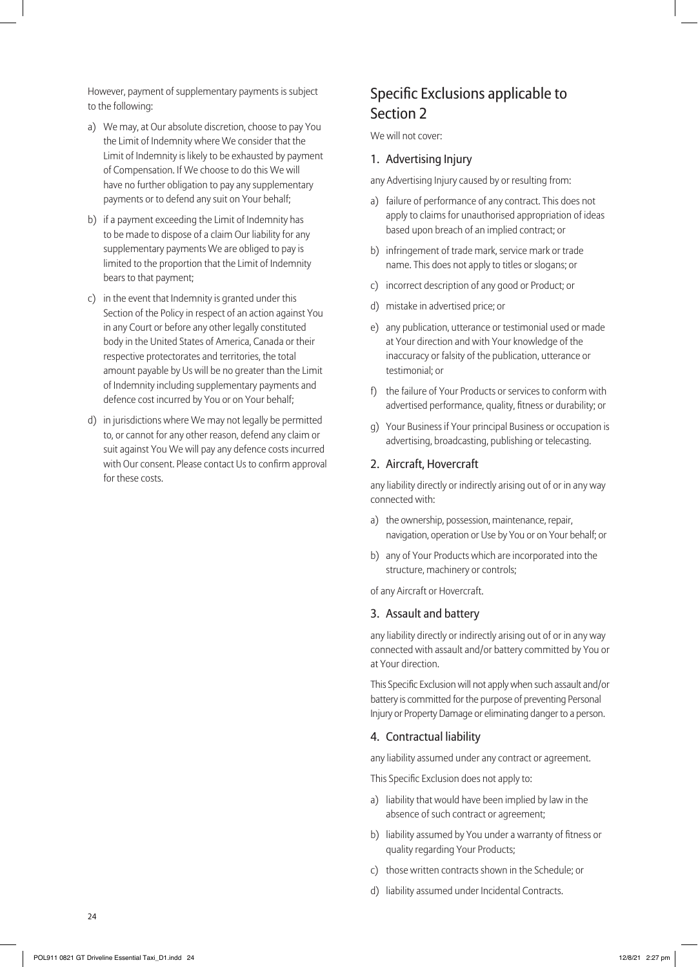However, payment of supplementary payments is subject to the following:

- a) We may, at Our absolute discretion, choose to pay You the Limit of Indemnity where We consider that the Limit of Indemnity is likely to be exhausted by payment of Compensation. If We choose to do this We will have no further obligation to pay any supplementary payments or to defend any suit on Your behalf;
- b) if a payment exceeding the Limit of Indemnity has to be made to dispose of a claim Our liability for any supplementary payments We are obliged to pay is limited to the proportion that the Limit of Indemnity bears to that payment;
- c) in the event that Indemnity is granted under this Section of the Policy in respect of an action against You in any Court or before any other legally constituted body in the United States of America, Canada or their respective protectorates and territories, the total amount payable by Us will be no greater than the Limit of Indemnity including supplementary payments and defence cost incurred by You or on Your behalf;
- d) in jurisdictions where We may not legally be permitted to, or cannot for any other reason, defend any claim or suit against You We will pay any defence costs incurred with Our consent. Please contact Us to confirm approval for these costs.

## Specific Exclusions applicable to Section 2

We will not cover:

#### 1. Advertising Injury

any Advertising Injury caused by or resulting from:

- a) failure of performance of any contract. This does not apply to claims for unauthorised appropriation of ideas based upon breach of an implied contract; or
- b) infringement of trade mark, service mark or trade name. This does not apply to titles or slogans; or
- c) incorrect description of any good or Product; or
- d) mistake in advertised price; or
- e) any publication, utterance or testimonial used or made at Your direction and with Your knowledge of the inaccuracy or falsity of the publication, utterance or testimonial; or
- f) the failure of Your Products or services to conform with advertised performance, quality, fitness or durability; or
- g) Your Business if Your principal Business or occupation is advertising, broadcasting, publishing or telecasting.

#### 2. Aircraft, Hovercraft

any liability directly or indirectly arising out of or in any way connected with:

- a) the ownership, possession, maintenance, repair, navigation, operation or Use by You or on Your behalf; or
- b) any of Your Products which are incorporated into the structure, machinery or controls;

of any Aircraft or Hovercraft.

#### 3. Assault and battery

any liability directly or indirectly arising out of or in any way connected with assault and/or battery committed by You or at Your direction.

This Specific Exclusion will not apply when such assault and/or battery is committed for the purpose of preventing Personal Injury or Property Damage or eliminating danger to a person.

#### 4. Contractual liability

any liability assumed under any contract or agreement.

This Specific Exclusion does not apply to:

- a) liability that would have been implied by law in the absence of such contract or agreement;
- b) liability assumed by You under a warranty of fitness or quality regarding Your Products;
- c) those written contracts shown in the Schedule; or
- d) liability assumed under Incidental Contracts.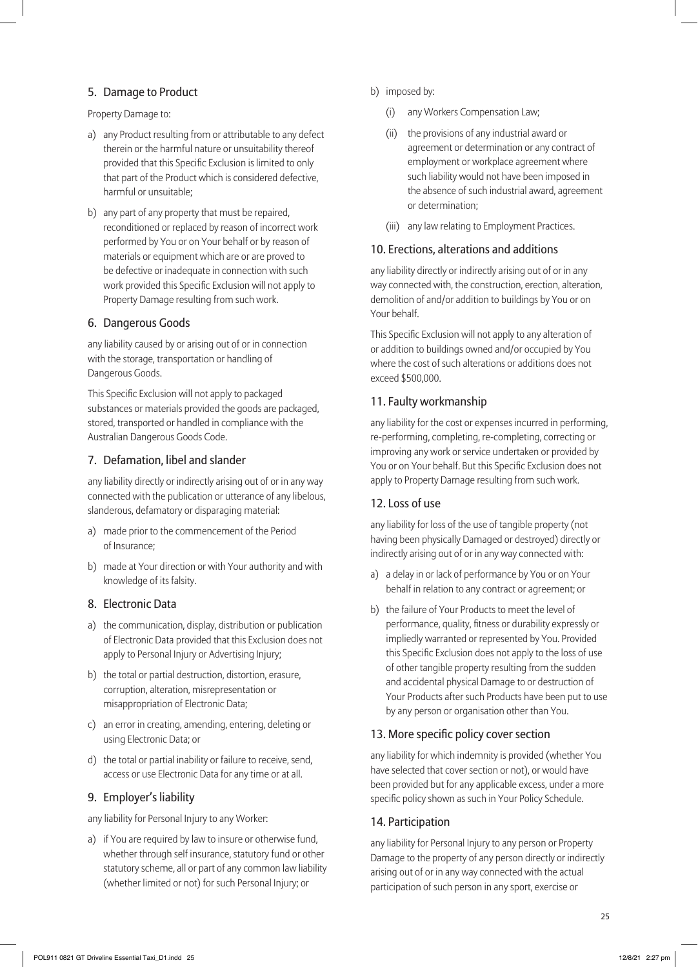#### 5. Damage to Product

Property Damage to:

- a) any Product resulting from or attributable to any defect therein or the harmful nature or unsuitability thereof provided that this Specific Exclusion is limited to only that part of the Product which is considered defective, harmful or unsuitable;
- b) any part of any property that must be repaired, reconditioned or replaced by reason of incorrect work performed by You or on Your behalf or by reason of materials or equipment which are or are proved to be defective or inadequate in connection with such work provided this Specific Exclusion will not apply to Property Damage resulting from such work.

#### 6. Dangerous Goods

any liability caused by or arising out of or in connection with the storage, transportation or handling of Dangerous Goods.

This Specific Exclusion will not apply to packaged substances or materials provided the goods are packaged, stored, transported or handled in compliance with the Australian Dangerous Goods Code.

#### 7. Defamation, libel and slander

any liability directly or indirectly arising out of or in any way connected with the publication or utterance of any libelous, slanderous, defamatory or disparaging material:

- a) made prior to the commencement of the Period of Insurance;
- b) made at Your direction or with Your authority and with knowledge of its falsity.

#### 8. Electronic Data

- a) the communication, display, distribution or publication of Electronic Data provided that this Exclusion does not apply to Personal Injury or Advertising Injury;
- b) the total or partial destruction, distortion, erasure, corruption, alteration, misrepresentation or misappropriation of Electronic Data;
- c) an error in creating, amending, entering, deleting or using Electronic Data; or
- d) the total or partial inability or failure to receive, send, access or use Electronic Data for any time or at all.

#### 9. Employer's liability

any liability for Personal Injury to any Worker:

a) if You are required by law to insure or otherwise fund, whether through self insurance, statutory fund or other statutory scheme, all or part of any common law liability (whether limited or not) for such Personal Injury; or

- b) imposed by:
	- (i) any Workers Compensation Law;
	- (ii) the provisions of any industrial award or agreement or determination or any contract of employment or workplace agreement where such liability would not have been imposed in the absence of such industrial award, agreement or determination;
	- (iii) any law relating to Employment Practices.

#### 10. Erections, alterations and additions

any liability directly or indirectly arising out of or in any way connected with, the construction, erection, alteration, demolition of and/or addition to buildings by You or on Your behalf.

This Specific Exclusion will not apply to any alteration of or addition to buildings owned and/or occupied by You where the cost of such alterations or additions does not exceed \$500,000.

#### 11. Faulty workmanship

any liability for the cost or expenses incurred in performing, re-performing, completing, re-completing, correcting or improving any work or service undertaken or provided by You or on Your behalf. But this Specific Exclusion does not apply to Property Damage resulting from such work.

#### 12. Loss of use

any liability for loss of the use of tangible property (not having been physically Damaged or destroyed) directly or indirectly arising out of or in any way connected with:

- a) a delay in or lack of performance by You or on Your behalf in relation to any contract or agreement; or
- b) the failure of Your Products to meet the level of performance, quality, fitness or durability expressly or impliedly warranted or represented by You. Provided this Specific Exclusion does not apply to the loss of use of other tangible property resulting from the sudden and accidental physical Damage to or destruction of Your Products after such Products have been put to use by any person or organisation other than You.

#### 13. More specific policy cover section

any liability for which indemnity is provided (whether You have selected that cover section or not), or would have been provided but for any applicable excess, under a more specific policy shown as such in Your Policy Schedule.

#### 14. Participation

any liability for Personal Injury to any person or Property Damage to the property of any person directly or indirectly arising out of or in any way connected with the actual participation of such person in any sport, exercise or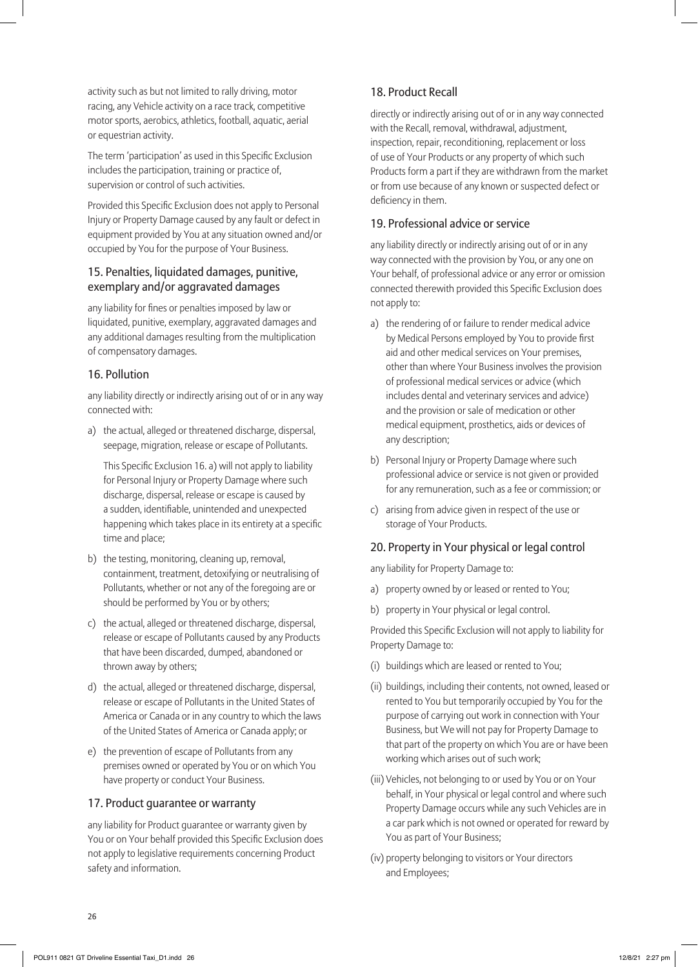activity such as but not limited to rally driving, motor racing, any Vehicle activity on a race track, competitive motor sports, aerobics, athletics, football, aquatic, aerial or equestrian activity.

The term 'participation' as used in this Specific Exclusion includes the participation, training or practice of, supervision or control of such activities.

Provided this Specific Exclusion does not apply to Personal Injury or Property Damage caused by any fault or defect in equipment provided by You at any situation owned and/or occupied by You for the purpose of Your Business.

#### 15. Penalties, liquidated damages, punitive, exemplary and/or aggravated damages

any liability for fines or penalties imposed by law or liquidated, punitive, exemplary, aggravated damages and any additional damages resulting from the multiplication of compensatory damages.

#### 16. Pollution

any liability directly or indirectly arising out of or in any way connected with:

a) the actual, alleged or threatened discharge, dispersal, seepage, migration, release or escape of Pollutants.

This Specific Exclusion 16. a) will not apply to liability for Personal Injury or Property Damage where such discharge, dispersal, release or escape is caused by a sudden, identifiable, unintended and unexpected happening which takes place in its entirety at a specific time and place;

- b) the testing, monitoring, cleaning up, removal, containment, treatment, detoxifying or neutralising of Pollutants, whether or not any of the foregoing are or should be performed by You or by others;
- c) the actual, alleged or threatened discharge, dispersal, release or escape of Pollutants caused by any Products that have been discarded, dumped, abandoned or thrown away by others;
- d) the actual, alleged or threatened discharge, dispersal, release or escape of Pollutants in the United States of America or Canada or in any country to which the laws of the United States of America or Canada apply; or
- e) the prevention of escape of Pollutants from any premises owned or operated by You or on which You have property or conduct Your Business.

#### 17. Product guarantee or warranty

any liability for Product guarantee or warranty given by You or on Your behalf provided this Specific Exclusion does not apply to legislative requirements concerning Product safety and information.

#### 18. Product Recall

directly or indirectly arising out of or in any way connected with the Recall, removal, withdrawal, adjustment, inspection, repair, reconditioning, replacement or loss of use of Your Products or any property of which such Products form a part if they are withdrawn from the market or from use because of any known or suspected defect or deficiency in them.

#### 19. Professional advice or service

any liability directly or indirectly arising out of or in any way connected with the provision by You, or any one on Your behalf, of professional advice or any error or omission connected therewith provided this Specific Exclusion does not apply to:

- a) the rendering of or failure to render medical advice by Medical Persons employed by You to provide first aid and other medical services on Your premises, other than where Your Business involves the provision of professional medical services or advice (which includes dental and veterinary services and advice) and the provision or sale of medication or other medical equipment, prosthetics, aids or devices of any description;
- b) Personal Injury or Property Damage where such professional advice or service is not given or provided for any remuneration, such as a fee or commission; or
- c) arising from advice given in respect of the use or storage of Your Products.

#### 20. Property in Your physical or legal control

any liability for Property Damage to:

- a) property owned by or leased or rented to You;
- b) property in Your physical or legal control.

Provided this Specific Exclusion will not apply to liability for Property Damage to:

- (i) buildings which are leased or rented to You;
- (ii) buildings, including their contents, not owned, leased or rented to You but temporarily occupied by You for the purpose of carrying out work in connection with Your Business, but We will not pay for Property Damage to that part of the property on which You are or have been working which arises out of such work;
- (iii) Vehicles, not belonging to or used by You or on Your behalf, in Your physical or legal control and where such Property Damage occurs while any such Vehicles are in a car park which is not owned or operated for reward by You as part of Your Business;
- (iv) property belonging to visitors or Your directors and Employees;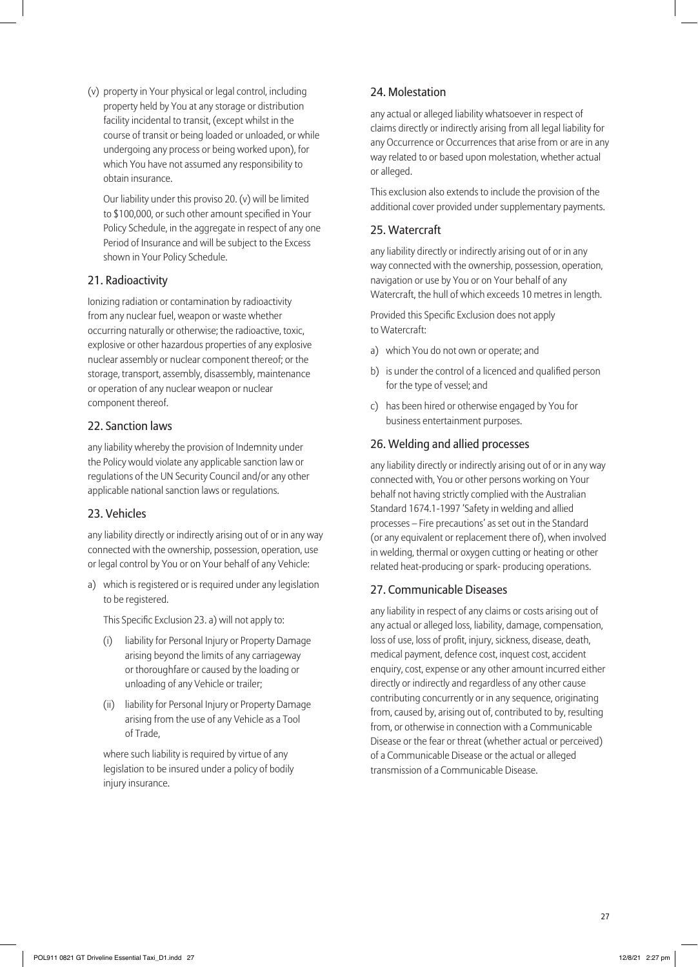(v) property in Your physical or legal control, including property held by You at any storage or distribution facility incidental to transit, (except whilst in the course of transit or being loaded or unloaded, or while undergoing any process or being worked upon), for which You have not assumed any responsibility to obtain insurance.

Our liability under this proviso 20. (v) will be limited to \$100,000, or such other amount specified in Your Policy Schedule, in the aggregate in respect of any one Period of Insurance and will be subject to the Excess shown in Your Policy Schedule.

#### 21. Radioactivity

Ionizing radiation or contamination by radioactivity from any nuclear fuel, weapon or waste whether occurring naturally or otherwise; the radioactive, toxic, explosive or other hazardous properties of any explosive nuclear assembly or nuclear component thereof; or the storage, transport, assembly, disassembly, maintenance or operation of any nuclear weapon or nuclear component thereof.

#### 22. Sanction laws

any liability whereby the provision of Indemnity under the Policy would violate any applicable sanction law or regulations of the UN Security Council and/or any other applicable national sanction laws or regulations.

#### 23. Vehicles

any liability directly or indirectly arising out of or in any way connected with the ownership, possession, operation, use or legal control by You or on Your behalf of any Vehicle:

a) which is registered or is required under any legislation to be registered.

This Specific Exclusion 23. a) will not apply to:

- (i) liability for Personal Injury or Property Damage arising beyond the limits of any carriageway or thoroughfare or caused by the loading or unloading of any Vehicle or trailer;
- (ii) liability for Personal Injury or Property Damage arising from the use of any Vehicle as a Tool of Trade,

where such liability is required by virtue of any legislation to be insured under a policy of bodily injury insurance.

#### 24. Molestation

any actual or alleged liability whatsoever in respect of claims directly or indirectly arising from all legal liability for any Occurrence or Occurrences that arise from or are in any way related to or based upon molestation, whether actual or alleged.

This exclusion also extends to include the provision of the additional cover provided under supplementary payments.

#### 25. Watercraft

any liability directly or indirectly arising out of or in any way connected with the ownership, possession, operation, navigation or use by You or on Your behalf of any Watercraft, the hull of which exceeds 10 metres in length.

Provided this Specific Exclusion does not apply to Watercraft:

- a) which You do not own or operate; and
- b) is under the control of a licenced and qualified person for the type of vessel; and
- c) has been hired or otherwise engaged by You for business entertainment purposes.

#### 26. Welding and allied processes

any liability directly or indirectly arising out of or in any way connected with, You or other persons working on Your behalf not having strictly complied with the Australian Standard 1674.1-1997 'Safety in welding and allied processes – Fire precautions' as set out in the Standard (or any equivalent or replacement there of), when involved in welding, thermal or oxygen cutting or heating or other related heat-producing or spark- producing operations.

#### 27. Communicable Diseases

any liability in respect of any claims or costs arising out of any actual or alleged loss, liability, damage, compensation, loss of use, loss of profit, injury, sickness, disease, death, medical payment, defence cost, inquest cost, accident enquiry, cost, expense or any other amount incurred either directly or indirectly and regardless of any other cause contributing concurrently or in any sequence, originating from, caused by, arising out of, contributed to by, resulting from, or otherwise in connection with a Communicable Disease or the fear or threat (whether actual or perceived) of a Communicable Disease or the actual or alleged transmission of a Communicable Disease.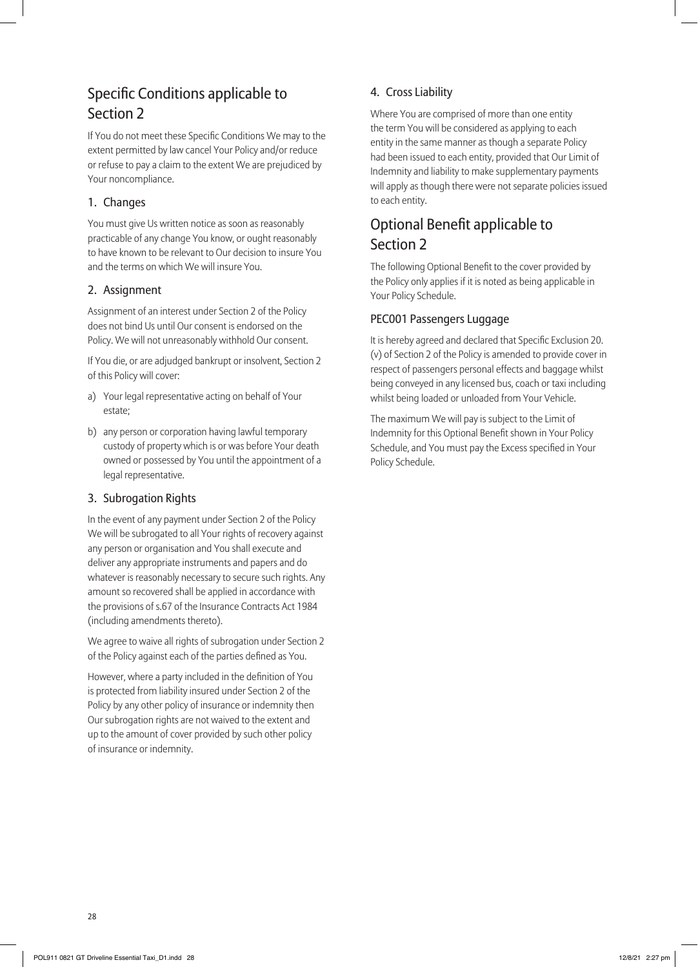# Specific Conditions applicable to Section 2

If You do not meet these Specific Conditions We may to the extent permitted by law cancel Your Policy and/or reduce or refuse to pay a claim to the extent We are prejudiced by Your noncompliance.

#### 1. Changes

You must give Us written notice as soon as reasonably practicable of any change You know, or ought reasonably to have known to be relevant to Our decision to insure You and the terms on which We will insure You.

#### 2. Assignment

Assignment of an interest under Section 2 of the Policy does not bind Us until Our consent is endorsed on the Policy. We will not unreasonably withhold Our consent.

If You die, or are adjudged bankrupt or insolvent, Section 2 of this Policy will cover:

- a) Your legal representative acting on behalf of Your estate;
- b) any person or corporation having lawful temporary custody of property which is or was before Your death owned or possessed by You until the appointment of a legal representative.

#### 3. Subrogation Rights

In the event of any payment under Section 2 of the Policy We will be subrogated to all Your rights of recovery against any person or organisation and You shall execute and deliver any appropriate instruments and papers and do whatever is reasonably necessary to secure such rights. Any amount so recovered shall be applied in accordance with the provisions of s.67 of the Insurance Contracts Act 1984 (including amendments thereto).

We agree to waive all rights of subrogation under Section 2 of the Policy against each of the parties defined as You.

However, where a party included in the definition of You is protected from liability insured under Section 2 of the Policy by any other policy of insurance or indemnity then Our subrogation rights are not waived to the extent and up to the amount of cover provided by such other policy of insurance or indemnity.

### 4. Cross Liability

Where You are comprised of more than one entity the term You will be considered as applying to each entity in the same manner as though a separate Policy had been issued to each entity, provided that Our Limit of Indemnity and liability to make supplementary payments will apply as though there were not separate policies issued to each entity.

# Optional Benefit applicable to Section 2

The following Optional Benefit to the cover provided by the Policy only applies if it is noted as being applicable in Your Policy Schedule.

#### PEC001 Passengers Luggage

It is hereby agreed and declared that Specific Exclusion 20. (v) of Section 2 of the Policy is amended to provide cover in respect of passengers personal effects and baggage whilst being conveyed in any licensed bus, coach or taxi including whilst being loaded or unloaded from Your Vehicle.

The maximum We will pay is subject to the Limit of Indemnity for this Optional Benefit shown in Your Policy Schedule, and You must pay the Excess specified in Your Policy Schedule.